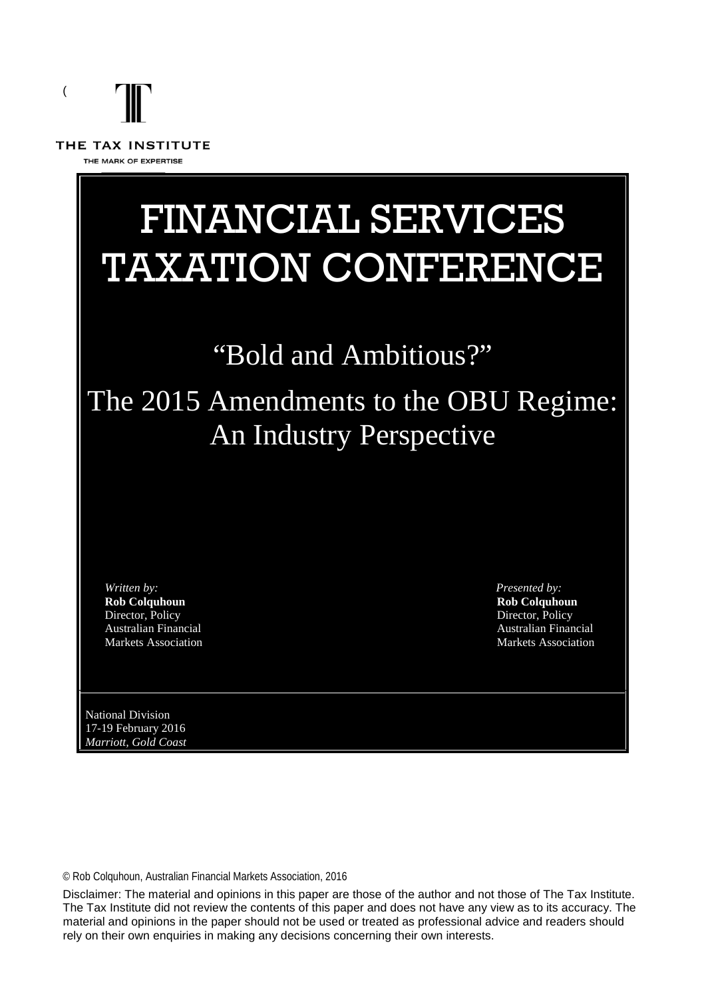

# FINANCIAL SERVICES TAXATION CONFERENCE

## "Bold and Ambitious?"

## The 2015 Amendments to the OBU Regime: An Industry Perspective

*Written by:* **Rob Colquhoun** Director, Policy Australian Financial Markets Association *Presented by:* **Rob Colquhoun** Director, Policy Australian Financial Markets Association

National Division 17-19 February 2016 *Marriott, Gold Coast*

© Rob Colquhoun, Australian Financial Markets Association, 2016

Disclaimer: The material and opinions in this paper are those of the author and not those of The Tax Institute. The Tax Institute did not review the contents of this paper and does not have any view as to its accuracy. The material and opinions in the paper should not be used or treated as professional advice and readers should rely on their own enquiries in making any decisions concerning their own interests.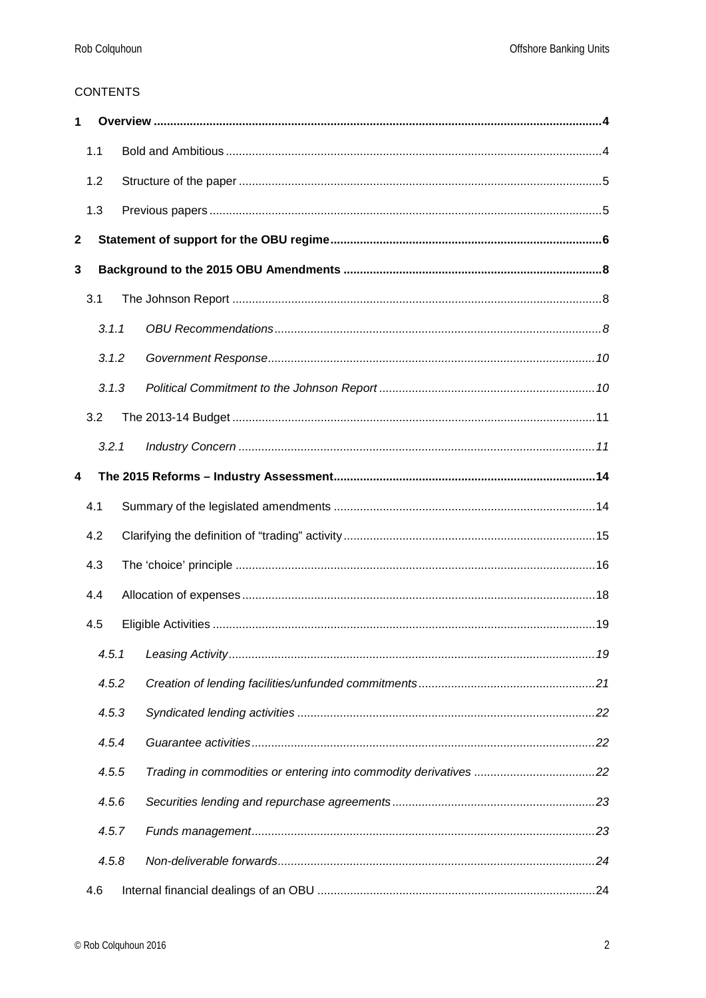#### **CONTENTS**

| 1            |                         |  |  |  |  |  |  |
|--------------|-------------------------|--|--|--|--|--|--|
|              | 1.1                     |  |  |  |  |  |  |
|              | 1.2                     |  |  |  |  |  |  |
|              | 1.3                     |  |  |  |  |  |  |
| $\mathbf{2}$ |                         |  |  |  |  |  |  |
| 3            |                         |  |  |  |  |  |  |
|              | 3.1                     |  |  |  |  |  |  |
|              | 3.1.1                   |  |  |  |  |  |  |
|              | 3.1.2                   |  |  |  |  |  |  |
|              | 3.1.3                   |  |  |  |  |  |  |
|              | 3.2                     |  |  |  |  |  |  |
|              | 3.2.1                   |  |  |  |  |  |  |
| 4            |                         |  |  |  |  |  |  |
|              | 4.1                     |  |  |  |  |  |  |
|              | 4.2                     |  |  |  |  |  |  |
|              | 4.3                     |  |  |  |  |  |  |
| 4.4          |                         |  |  |  |  |  |  |
|              | 4.5                     |  |  |  |  |  |  |
|              | 4.5.1                   |  |  |  |  |  |  |
|              | 4.5.2                   |  |  |  |  |  |  |
|              | 4.5.3<br>4.5.4<br>4.5.5 |  |  |  |  |  |  |
|              |                         |  |  |  |  |  |  |
|              |                         |  |  |  |  |  |  |
|              | 4.5.6                   |  |  |  |  |  |  |
|              | 4.5.7                   |  |  |  |  |  |  |
|              | 4.5.8                   |  |  |  |  |  |  |
|              | 4.6                     |  |  |  |  |  |  |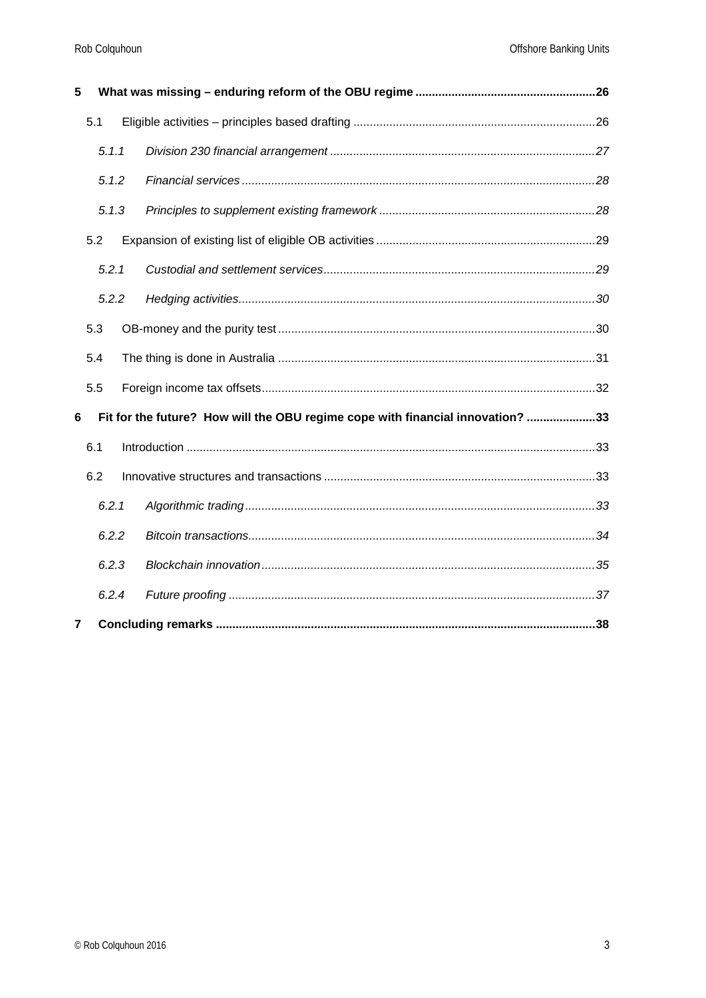| 5              |       |       |  |                                                                                |  |
|----------------|-------|-------|--|--------------------------------------------------------------------------------|--|
|                | 5.1   |       |  |                                                                                |  |
|                |       | 5.1.1 |  |                                                                                |  |
|                |       | 5.1.2 |  |                                                                                |  |
|                |       | 5.1.3 |  |                                                                                |  |
|                | 5.2   |       |  |                                                                                |  |
|                |       | 5.2.1 |  |                                                                                |  |
|                | 5.2.2 |       |  |                                                                                |  |
|                | 5.3   |       |  |                                                                                |  |
|                | 5.4   |       |  |                                                                                |  |
|                | 5.5   |       |  |                                                                                |  |
| 6              |       |       |  | Fit for the future? How will the OBU regime cope with financial innovation? 33 |  |
|                | 6.1   |       |  |                                                                                |  |
|                | 6.2   |       |  |                                                                                |  |
|                |       | 6.2.1 |  |                                                                                |  |
|                |       | 6.2.2 |  |                                                                                |  |
|                |       | 6.2.3 |  |                                                                                |  |
|                |       | 6.2.4 |  |                                                                                |  |
| $\overline{7}$ |       |       |  |                                                                                |  |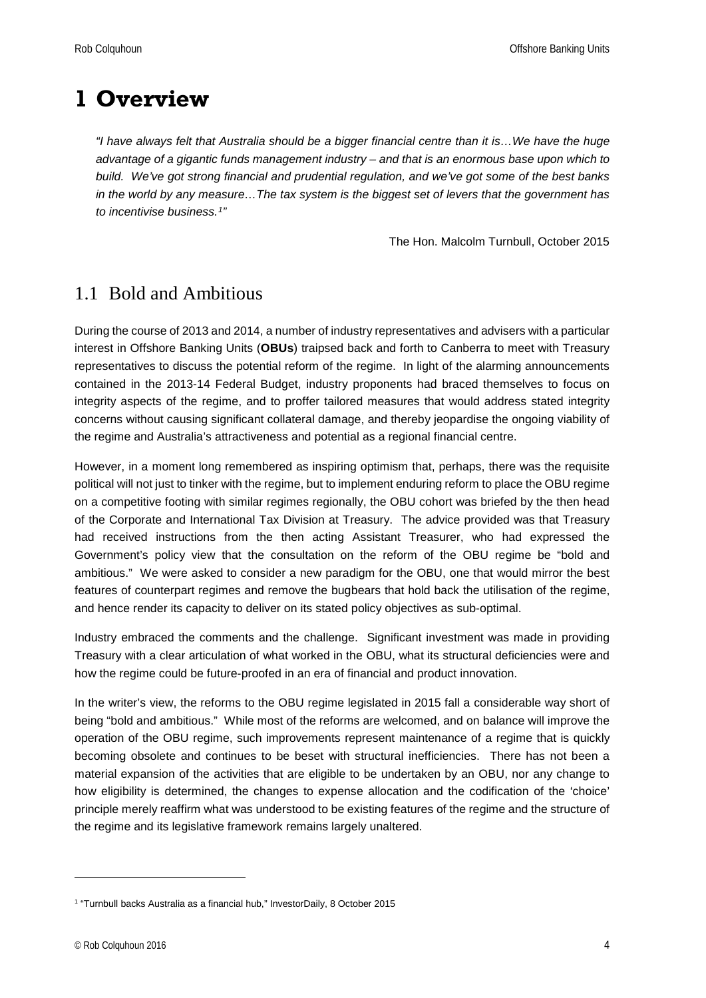## <span id="page-3-0"></span>**1 Overview**

*"I have always felt that Australia should be a bigger financial centre than it is…We have the huge advantage of a gigantic funds management industry – and that is an enormous base upon which to build. We've got strong financial and prudential regulation, and we've got some of the best banks in the world by any measure…The tax system is the biggest set of levers that the government has to incentivise business.[1"](#page-3-2)*

The Hon. Malcolm Turnbull, October 2015

## <span id="page-3-1"></span>1.1 Bold and Ambitious

During the course of 2013 and 2014, a number of industry representatives and advisers with a particular interest in Offshore Banking Units (**OBUs**) traipsed back and forth to Canberra to meet with Treasury representatives to discuss the potential reform of the regime. In light of the alarming announcements contained in the 2013-14 Federal Budget, industry proponents had braced themselves to focus on integrity aspects of the regime, and to proffer tailored measures that would address stated integrity concerns without causing significant collateral damage, and thereby jeopardise the ongoing viability of the regime and Australia's attractiveness and potential as a regional financial centre.

However, in a moment long remembered as inspiring optimism that, perhaps, there was the requisite political will not just to tinker with the regime, but to implement enduring reform to place the OBU regime on a competitive footing with similar regimes regionally, the OBU cohort was briefed by the then head of the Corporate and International Tax Division at Treasury. The advice provided was that Treasury had received instructions from the then acting Assistant Treasurer, who had expressed the Government's policy view that the consultation on the reform of the OBU regime be "bold and ambitious." We were asked to consider a new paradigm for the OBU, one that would mirror the best features of counterpart regimes and remove the bugbears that hold back the utilisation of the regime, and hence render its capacity to deliver on its stated policy objectives as sub-optimal.

Industry embraced the comments and the challenge. Significant investment was made in providing Treasury with a clear articulation of what worked in the OBU, what its structural deficiencies were and how the regime could be future-proofed in an era of financial and product innovation.

In the writer's view, the reforms to the OBU regime legislated in 2015 fall a considerable way short of being "bold and ambitious." While most of the reforms are welcomed, and on balance will improve the operation of the OBU regime, such improvements represent maintenance of a regime that is quickly becoming obsolete and continues to be beset with structural inefficiencies. There has not been a material expansion of the activities that are eligible to be undertaken by an OBU, nor any change to how eligibility is determined, the changes to expense allocation and the codification of the 'choice' principle merely reaffirm what was understood to be existing features of the regime and the structure of the regime and its legislative framework remains largely unaltered.

<span id="page-3-2"></span><sup>&</sup>lt;sup>1</sup> "Turnbull backs Australia as a financial hub," InvestorDaily, 8 October 2015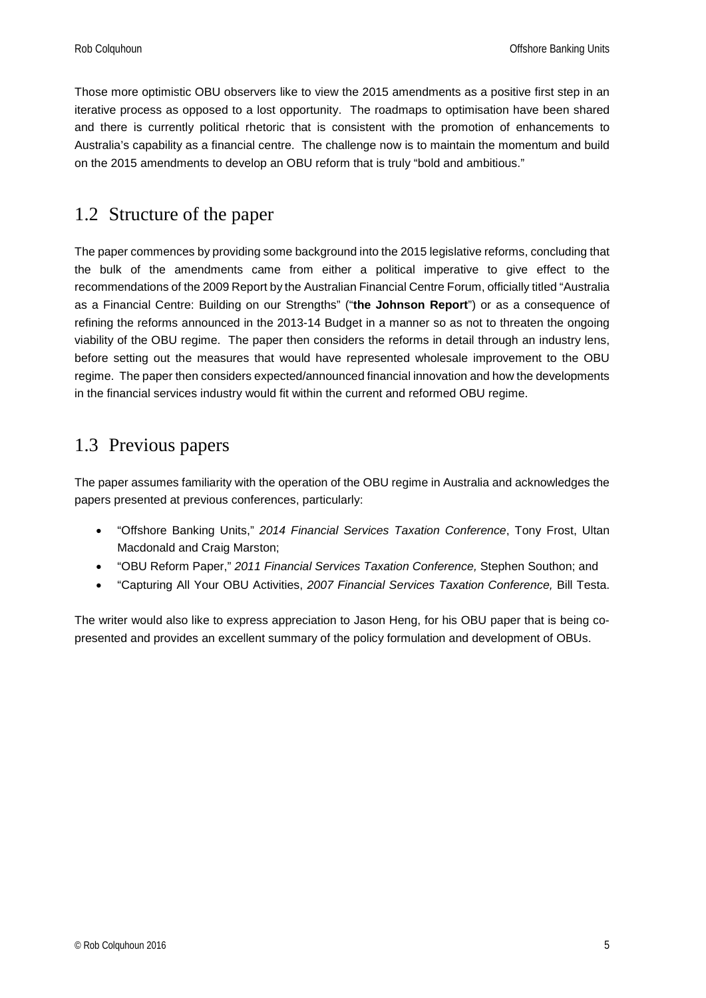Those more optimistic OBU observers like to view the 2015 amendments as a positive first step in an iterative process as opposed to a lost opportunity. The roadmaps to optimisation have been shared and there is currently political rhetoric that is consistent with the promotion of enhancements to Australia's capability as a financial centre. The challenge now is to maintain the momentum and build on the 2015 amendments to develop an OBU reform that is truly "bold and ambitious."

## <span id="page-4-0"></span>1.2 Structure of the paper

The paper commences by providing some background into the 2015 legislative reforms, concluding that the bulk of the amendments came from either a political imperative to give effect to the recommendations of the 2009 Report by the Australian Financial Centre Forum, officially titled "Australia as a Financial Centre: Building on our Strengths" ("**the Johnson Report**") or as a consequence of refining the reforms announced in the 2013-14 Budget in a manner so as not to threaten the ongoing viability of the OBU regime. The paper then considers the reforms in detail through an industry lens, before setting out the measures that would have represented wholesale improvement to the OBU regime. The paper then considers expected/announced financial innovation and how the developments in the financial services industry would fit within the current and reformed OBU regime.

### <span id="page-4-1"></span>1.3 Previous papers

The paper assumes familiarity with the operation of the OBU regime in Australia and acknowledges the papers presented at previous conferences, particularly:

- "Offshore Banking Units," *2014 Financial Services Taxation Conference*, Tony Frost, Ultan Macdonald and Craig Marston;
- "OBU Reform Paper," *2011 Financial Services Taxation Conference,* Stephen Southon; and
- "Capturing All Your OBU Activities, *2007 Financial Services Taxation Conference,* Bill Testa.

The writer would also like to express appreciation to Jason Heng, for his OBU paper that is being copresented and provides an excellent summary of the policy formulation and development of OBUs.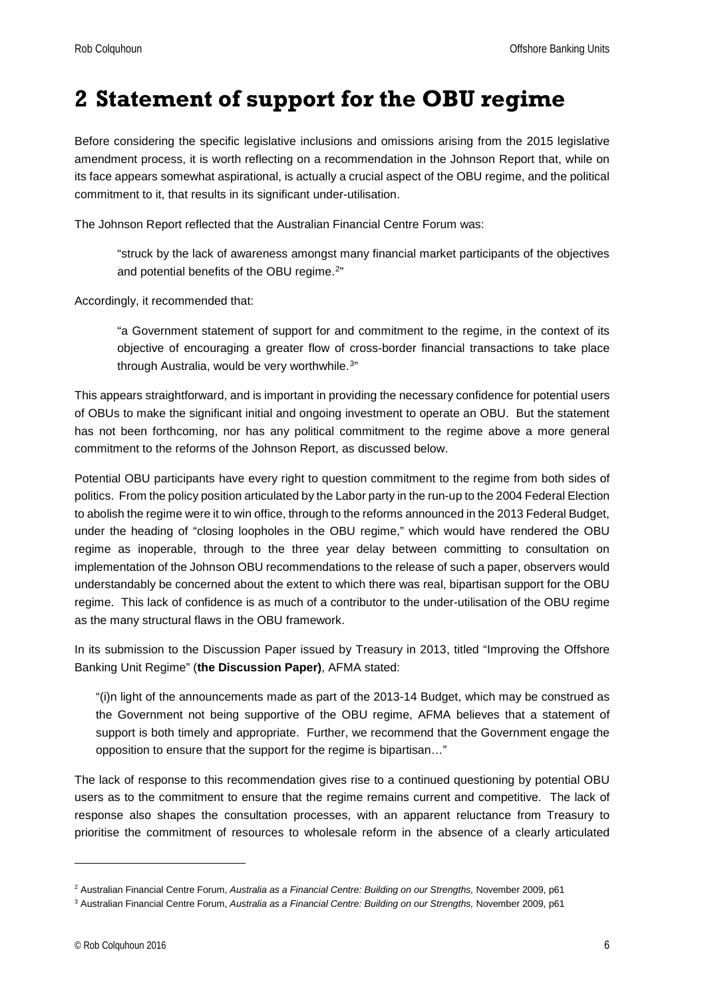## <span id="page-5-0"></span>**2 Statement of support for the OBU regime**

Before considering the specific legislative inclusions and omissions arising from the 2015 legislative amendment process, it is worth reflecting on a recommendation in the Johnson Report that, while on its face appears somewhat aspirational, is actually a crucial aspect of the OBU regime, and the political commitment to it, that results in its significant under-utilisation.

The Johnson Report reflected that the Australian Financial Centre Forum was:

"struck by the lack of awareness amongst many financial market participants of the objectives and potential benefits of the OBU regime.<sup>[2"](#page-5-1)</sup>

Accordingly, it recommended that:

"a Government statement of support for and commitment to the regime, in the context of its objective of encouraging a greater flow of cross-border financial transactions to take place through Australia, would be very worthwhile.[3"](#page-5-2)

This appears straightforward, and is important in providing the necessary confidence for potential users of OBUs to make the significant initial and ongoing investment to operate an OBU. But the statement has not been forthcoming, nor has any political commitment to the regime above a more general commitment to the reforms of the Johnson Report, as discussed below.

Potential OBU participants have every right to question commitment to the regime from both sides of politics. From the policy position articulated by the Labor party in the run-up to the 2004 Federal Election to abolish the regime were it to win office, through to the reforms announced in the 2013 Federal Budget, under the heading of "closing loopholes in the OBU regime," which would have rendered the OBU regime as inoperable, through to the three year delay between committing to consultation on implementation of the Johnson OBU recommendations to the release of such a paper, observers would understandably be concerned about the extent to which there was real, bipartisan support for the OBU regime. This lack of confidence is as much of a contributor to the under-utilisation of the OBU regime as the many structural flaws in the OBU framework.

In its submission to the Discussion Paper issued by Treasury in 2013, titled "Improving the Offshore Banking Unit Regime" (**the Discussion Paper)**, AFMA stated:

"(i)n light of the announcements made as part of the 2013-14 Budget, which may be construed as the Government not being supportive of the OBU regime, AFMA believes that a statement of support is both timely and appropriate. Further, we recommend that the Government engage the opposition to ensure that the support for the regime is bipartisan…"

The lack of response to this recommendation gives rise to a continued questioning by potential OBU users as to the commitment to ensure that the regime remains current and competitive. The lack of response also shapes the consultation processes, with an apparent reluctance from Treasury to prioritise the commitment of resources to wholesale reform in the absence of a clearly articulated

<span id="page-5-1"></span><sup>&</sup>lt;sup>2</sup> Australian Financial Centre Forum, Australia as a Financial Centre: Building on our Strengths, November 2009, p61

<span id="page-5-2"></span><sup>3</sup> Australian Financial Centre Forum, *Australia as a Financial Centre: Building on our Strengths,* November 2009, p61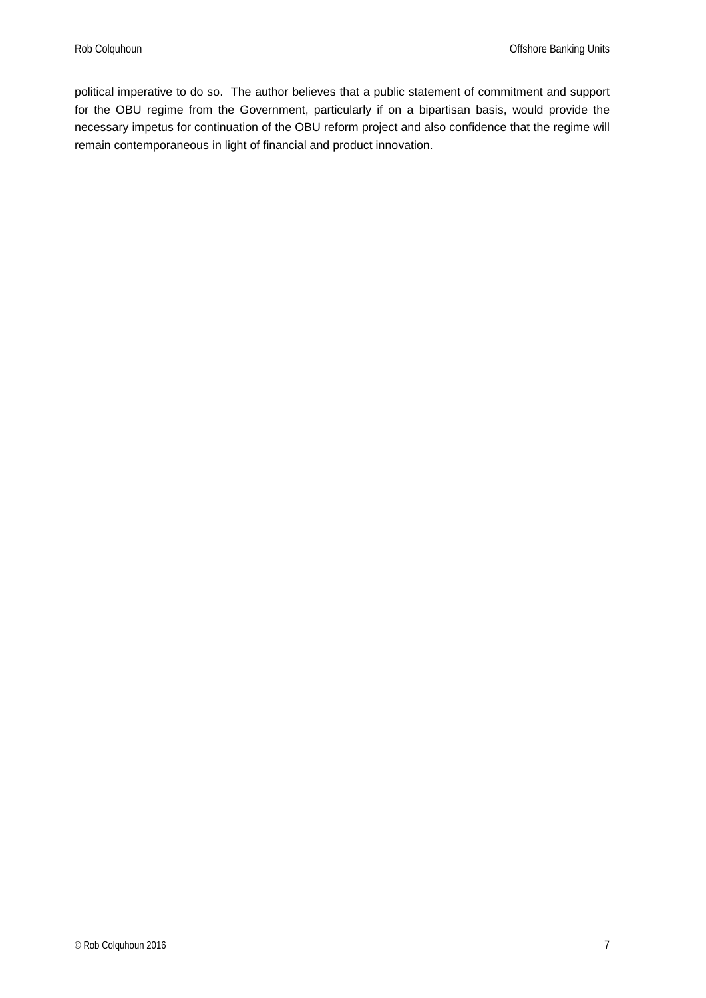political imperative to do so. The author believes that a public statement of commitment and support for the OBU regime from the Government, particularly if on a bipartisan basis, would provide the necessary impetus for continuation of the OBU reform project and also confidence that the regime will remain contemporaneous in light of financial and product innovation.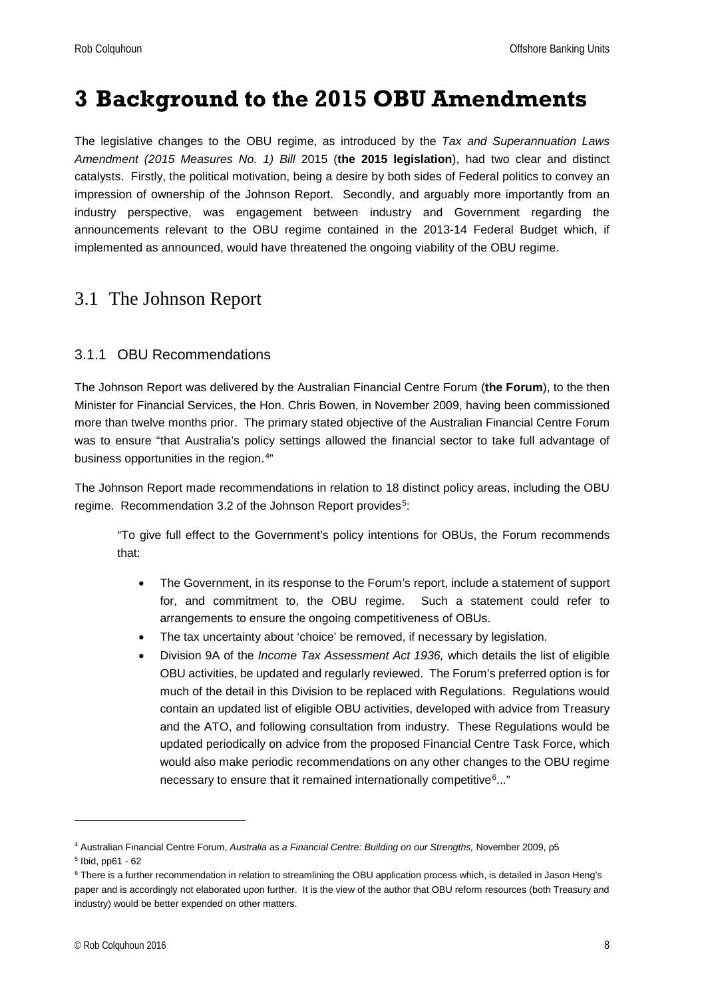## <span id="page-7-0"></span>**3 Background to the 2015 OBU Amendments**

The legislative changes to the OBU regime, as introduced by the *Tax and Superannuation Laws Amendment (2015 Measures No. 1) Bill* 2015 (**the 2015 legislation**), had two clear and distinct catalysts. Firstly, the political motivation, being a desire by both sides of Federal politics to convey an impression of ownership of the Johnson Report. Secondly, and arguably more importantly from an industry perspective, was engagement between industry and Government regarding the announcements relevant to the OBU regime contained in the 2013-14 Federal Budget which, if implemented as announced, would have threatened the ongoing viability of the OBU regime.

### <span id="page-7-1"></span>3.1 The Johnson Report

#### <span id="page-7-2"></span>3.1.1 OBU Recommendations

The Johnson Report was delivered by the Australian Financial Centre Forum (**the Forum**), to the then Minister for Financial Services, the Hon. Chris Bowen, in November 2009, having been commissioned more than twelve months prior. The primary stated objective of the Australian Financial Centre Forum was to ensure "that Australia's policy settings allowed the financial sector to take full advantage of business opportunities in the region.[4](#page-7-3)"

The Johnson Report made recommendations in relation to 18 distinct policy areas, including the OBU regime. Recommendation 3.2 of the Johnson Report provides<sup>5</sup>:

"To give full effect to the Government's policy intentions for OBUs, the Forum recommends that:

- The Government, in its response to the Forum's report, include a statement of support for, and commitment to, the OBU regime. Such a statement could refer to arrangements to ensure the ongoing competitiveness of OBUs.
- The tax uncertainty about 'choice' be removed, if necessary by legislation.
- Division 9A of the *Income Tax Assessment Act 1936,* which details the list of eligible OBU activities, be updated and regularly reviewed. The Forum's preferred option is for much of the detail in this Division to be replaced with Regulations. Regulations would contain an updated list of eligible OBU activities, developed with advice from Treasury and the ATO, and following consultation from industry. These Regulations would be updated periodically on advice from the proposed Financial Centre Task Force, which would also make periodic recommendations on any other changes to the OBU regime necessary to ensure that it remained internationally competitive<sup>6</sup>..."

<span id="page-7-3"></span><sup>4</sup> Australian Financial Centre Forum, *Australia as a Financial Centre: Building on our Strengths,* November 2009, p5

<span id="page-7-4"></span><sup>5</sup> Ibid, pp61 - 62

<span id="page-7-5"></span><sup>&</sup>lt;sup>6</sup> There is a further recommendation in relation to streamlining the OBU application process which, is detailed in Jason Heng's paper and is accordingly not elaborated upon further. It is the view of the author that OBU reform resources (both Treasury and industry) would be better expended on other matters.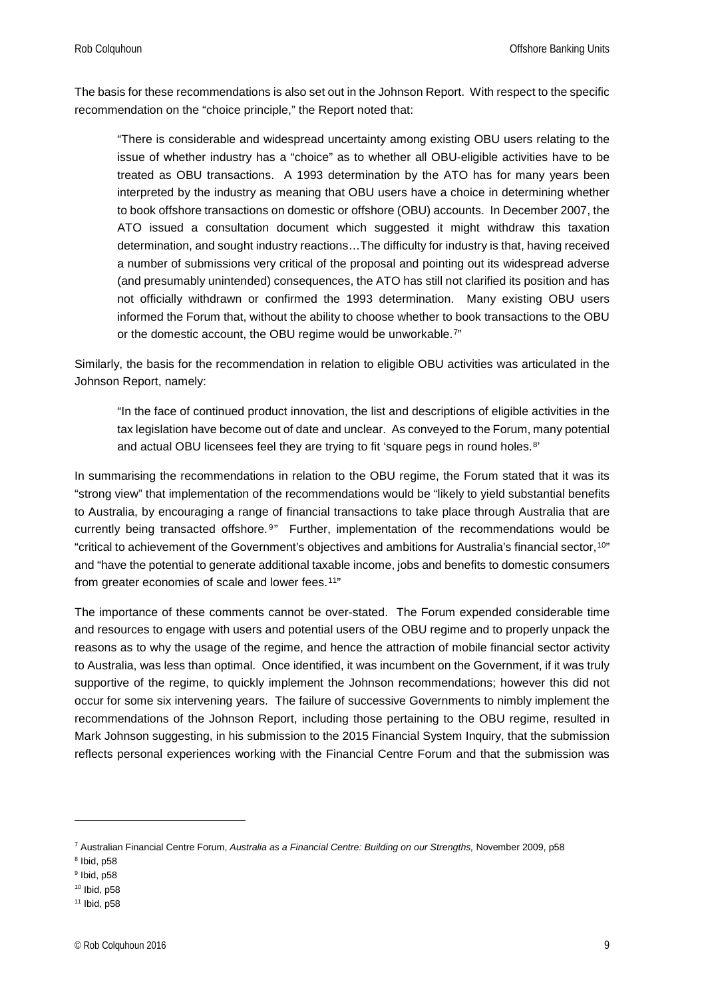The basis for these recommendations is also set out in the Johnson Report. With respect to the specific recommendation on the "choice principle," the Report noted that:

"There is considerable and widespread uncertainty among existing OBU users relating to the issue of whether industry has a "choice" as to whether all OBU-eligible activities have to be treated as OBU transactions. A 1993 determination by the ATO has for many years been interpreted by the industry as meaning that OBU users have a choice in determining whether to book offshore transactions on domestic or offshore (OBU) accounts. In December 2007, the ATO issued a consultation document which suggested it might withdraw this taxation determination, and sought industry reactions…The difficulty for industry is that, having received a number of submissions very critical of the proposal and pointing out its widespread adverse (and presumably unintended) consequences, the ATO has still not clarified its position and has not officially withdrawn or confirmed the 1993 determination. Many existing OBU users informed the Forum that, without the ability to choose whether to book transactions to the OBU or the domestic account, the OBU regime would be unworkable.<sup>[7](#page-8-0)"</sup>

Similarly, the basis for the recommendation in relation to eligible OBU activities was articulated in the Johnson Report, namely:

"In the face of continued product innovation, the list and descriptions of eligible activities in the tax legislation have become out of date and unclear. As conveyed to the Forum, many potential and actual OBU licensees feel they are trying to fit 'square pegs in round holes.<sup>[8](#page-8-1)</sup>'

In summarising the recommendations in relation to the OBU regime, the Forum stated that it was its "strong view" that implementation of the recommendations would be "likely to yield substantial benefits to Australia, by encouraging a range of financial transactions to take place through Australia that are currently being transacted offshore.<sup>[9](#page-8-2)"</sup> Further, implementation of the recommendations would be "critical to achievement of the Government's objectives and ambitions for Australia's financial sector,[10](#page-8-3)" and "have the potential to generate additional taxable income, jobs and benefits to domestic consumers from greater economies of scale and lower fees.<sup>[11](#page-8-4)"</sup>

The importance of these comments cannot be over-stated. The Forum expended considerable time and resources to engage with users and potential users of the OBU regime and to properly unpack the reasons as to why the usage of the regime, and hence the attraction of mobile financial sector activity to Australia, was less than optimal. Once identified, it was incumbent on the Government, if it was truly supportive of the regime, to quickly implement the Johnson recommendations; however this did not occur for some six intervening years. The failure of successive Governments to nimbly implement the recommendations of the Johnson Report, including those pertaining to the OBU regime, resulted in Mark Johnson suggesting, in his submission to the 2015 Financial System Inquiry, that the submission reflects personal experiences working with the Financial Centre Forum and that the submission was

<span id="page-8-0"></span><sup>7</sup> Australian Financial Centre Forum, *Australia as a Financial Centre: Building on our Strengths,* November 2009, p58

<span id="page-8-1"></span> $8$  Ibid, p58

<span id="page-8-2"></span> $9$  Ibid, p58

<span id="page-8-3"></span><sup>10</sup> Ibid, p58

<span id="page-8-4"></span><sup>11</sup> Ibid, p58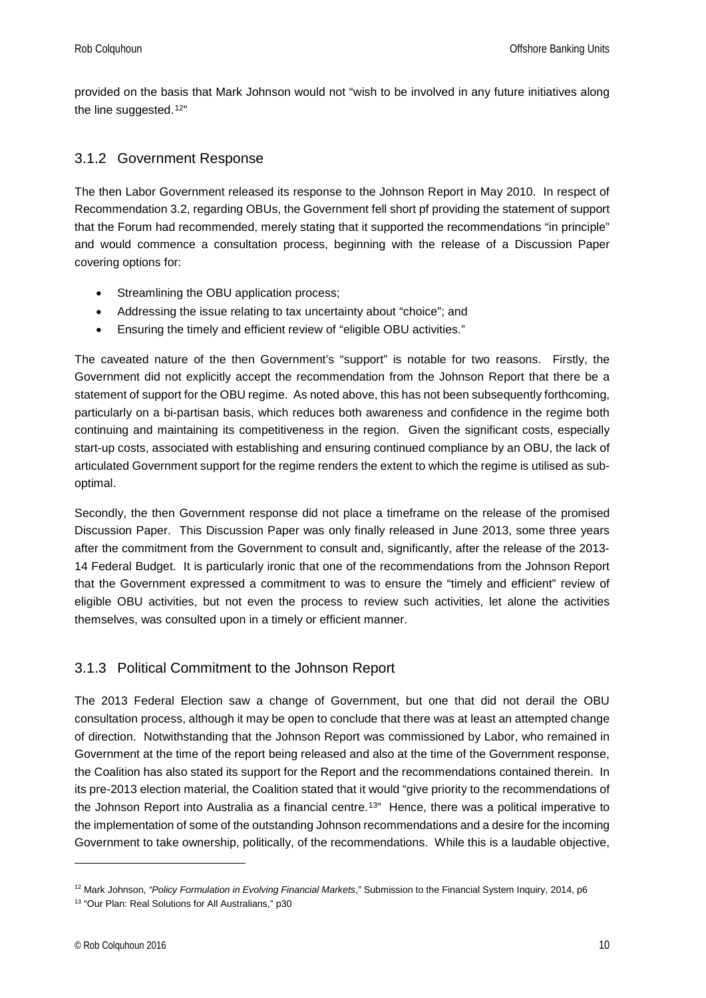provided on the basis that Mark Johnson would not "wish to be involved in any future initiatives along the line suggested.<sup>[12"](#page-9-2)</sup>

#### <span id="page-9-0"></span>3.1.2 Government Response

The then Labor Government released its response to the Johnson Report in May 2010. In respect of Recommendation 3.2, regarding OBUs, the Government fell short pf providing the statement of support that the Forum had recommended, merely stating that it supported the recommendations "in principle" and would commence a consultation process, beginning with the release of a Discussion Paper covering options for:

- Streamlining the OBU application process;
- Addressing the issue relating to tax uncertainty about "choice"; and
- Ensuring the timely and efficient review of "eligible OBU activities."

The caveated nature of the then Government's "support" is notable for two reasons. Firstly, the Government did not explicitly accept the recommendation from the Johnson Report that there be a statement of support for the OBU regime. As noted above, this has not been subsequently forthcoming, particularly on a bi-partisan basis, which reduces both awareness and confidence in the regime both continuing and maintaining its competitiveness in the region. Given the significant costs, especially start-up costs, associated with establishing and ensuring continued compliance by an OBU, the lack of articulated Government support for the regime renders the extent to which the regime is utilised as suboptimal.

Secondly, the then Government response did not place a timeframe on the release of the promised Discussion Paper. This Discussion Paper was only finally released in June 2013, some three years after the commitment from the Government to consult and, significantly, after the release of the 2013- 14 Federal Budget. It is particularly ironic that one of the recommendations from the Johnson Report that the Government expressed a commitment to was to ensure the "timely and efficient" review of eligible OBU activities, but not even the process to review such activities, let alone the activities themselves, was consulted upon in a timely or efficient manner.

#### <span id="page-9-1"></span>3.1.3 Political Commitment to the Johnson Report

The 2013 Federal Election saw a change of Government, but one that did not derail the OBU consultation process, although it may be open to conclude that there was at least an attempted change of direction. Notwithstanding that the Johnson Report was commissioned by Labor, who remained in Government at the time of the report being released and also at the time of the Government response, the Coalition has also stated its support for the Report and the recommendations contained therein. In its pre-2013 election material, the Coalition stated that it would "give priority to the recommendations of the Johnson Report into Australia as a financial centre.[13](#page-9-3)" Hence, there was a political imperative to the implementation of some of the outstanding Johnson recommendations and a desire for the incoming Government to take ownership, politically, of the recommendations. While this is a laudable objective,

<span id="page-9-2"></span><sup>12</sup> Mark Johnson, *"Policy Formulation in Evolving Financial Markets*," Submission to the Financial System Inquiry, 2014, p6

<span id="page-9-3"></span><sup>13</sup> "Our Plan: Real Solutions for All Australians," p30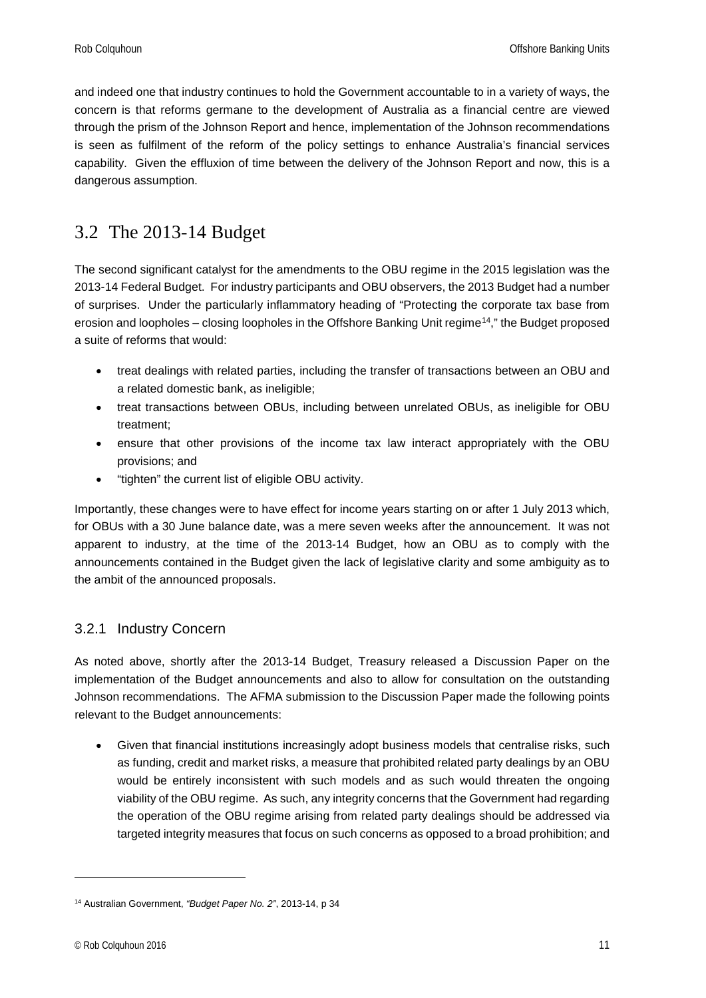and indeed one that industry continues to hold the Government accountable to in a variety of ways, the concern is that reforms germane to the development of Australia as a financial centre are viewed through the prism of the Johnson Report and hence, implementation of the Johnson recommendations is seen as fulfilment of the reform of the policy settings to enhance Australia's financial services capability. Given the effluxion of time between the delivery of the Johnson Report and now, this is a dangerous assumption.

### <span id="page-10-0"></span>3.2 The 2013-14 Budget

The second significant catalyst for the amendments to the OBU regime in the 2015 legislation was the 2013-14 Federal Budget. For industry participants and OBU observers, the 2013 Budget had a number of surprises. Under the particularly inflammatory heading of "Protecting the corporate tax base from erosion and loopholes – closing loopholes in the Offshore Banking Unit regime[14,](#page-10-2)" the Budget proposed a suite of reforms that would:

- treat dealings with related parties, including the transfer of transactions between an OBU and a related domestic bank, as ineligible;
- treat transactions between OBUs, including between unrelated OBUs, as ineligible for OBU treatment;
- ensure that other provisions of the income tax law interact appropriately with the OBU provisions; and
- "tighten" the current list of eligible OBU activity.

Importantly, these changes were to have effect for income years starting on or after 1 July 2013 which, for OBUs with a 30 June balance date, was a mere seven weeks after the announcement. It was not apparent to industry, at the time of the 2013-14 Budget, how an OBU as to comply with the announcements contained in the Budget given the lack of legislative clarity and some ambiguity as to the ambit of the announced proposals.

#### <span id="page-10-1"></span>3.2.1 Industry Concern

As noted above, shortly after the 2013-14 Budget, Treasury released a Discussion Paper on the implementation of the Budget announcements and also to allow for consultation on the outstanding Johnson recommendations. The AFMA submission to the Discussion Paper made the following points relevant to the Budget announcements:

• Given that financial institutions increasingly adopt business models that centralise risks, such as funding, credit and market risks, a measure that prohibited related party dealings by an OBU would be entirely inconsistent with such models and as such would threaten the ongoing viability of the OBU regime. As such, any integrity concerns that the Government had regarding the operation of the OBU regime arising from related party dealings should be addressed via targeted integrity measures that focus on such concerns as opposed to a broad prohibition; and

<span id="page-10-2"></span><sup>14</sup> Australian Government, *"Budget Paper No. 2"*, 2013-14, p 34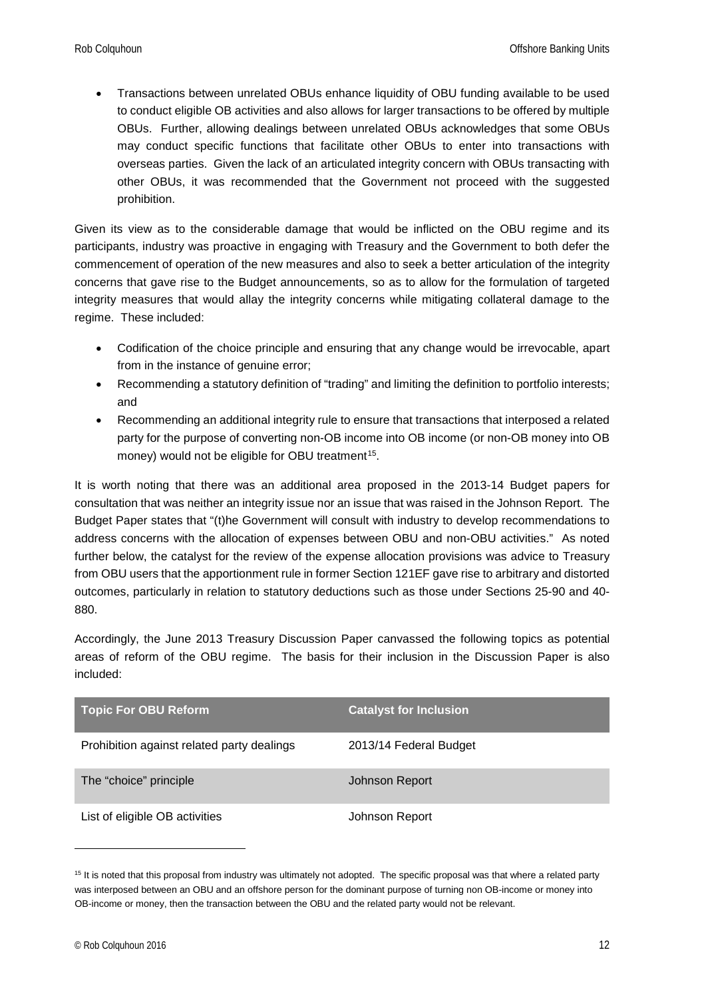• Transactions between unrelated OBUs enhance liquidity of OBU funding available to be used to conduct eligible OB activities and also allows for larger transactions to be offered by multiple OBUs. Further, allowing dealings between unrelated OBUs acknowledges that some OBUs may conduct specific functions that facilitate other OBUs to enter into transactions with overseas parties. Given the lack of an articulated integrity concern with OBUs transacting with other OBUs, it was recommended that the Government not proceed with the suggested prohibition.

Given its view as to the considerable damage that would be inflicted on the OBU regime and its participants, industry was proactive in engaging with Treasury and the Government to both defer the commencement of operation of the new measures and also to seek a better articulation of the integrity concerns that gave rise to the Budget announcements, so as to allow for the formulation of targeted integrity measures that would allay the integrity concerns while mitigating collateral damage to the regime. These included:

- Codification of the choice principle and ensuring that any change would be irrevocable, apart from in the instance of genuine error;
- Recommending a statutory definition of "trading" and limiting the definition to portfolio interests; and
- Recommending an additional integrity rule to ensure that transactions that interposed a related party for the purpose of converting non-OB income into OB income (or non-OB money into OB money) would not be eligible for OBU treatment<sup>[15](#page-11-0)</sup>.

It is worth noting that there was an additional area proposed in the 2013-14 Budget papers for consultation that was neither an integrity issue nor an issue that was raised in the Johnson Report. The Budget Paper states that "(t)he Government will consult with industry to develop recommendations to address concerns with the allocation of expenses between OBU and non-OBU activities." As noted further below, the catalyst for the review of the expense allocation provisions was advice to Treasury from OBU users that the apportionment rule in former Section 121EF gave rise to arbitrary and distorted outcomes, particularly in relation to statutory deductions such as those under Sections 25-90 and 40- 880.

Accordingly, the June 2013 Treasury Discussion Paper canvassed the following topics as potential areas of reform of the OBU regime. The basis for their inclusion in the Discussion Paper is also included:

| <b>Topic For OBU Reform</b>                | <b>Catalyst for Inclusion</b> |
|--------------------------------------------|-------------------------------|
| Prohibition against related party dealings | 2013/14 Federal Budget        |
| The "choice" principle                     | Johnson Report                |
| List of eligible OB activities             | Johnson Report                |

<span id="page-11-0"></span><sup>&</sup>lt;sup>15</sup> It is noted that this proposal from industry was ultimately not adopted. The specific proposal was that where a related party was interposed between an OBU and an offshore person for the dominant purpose of turning non OB-income or money into OB-income or money, then the transaction between the OBU and the related party would not be relevant.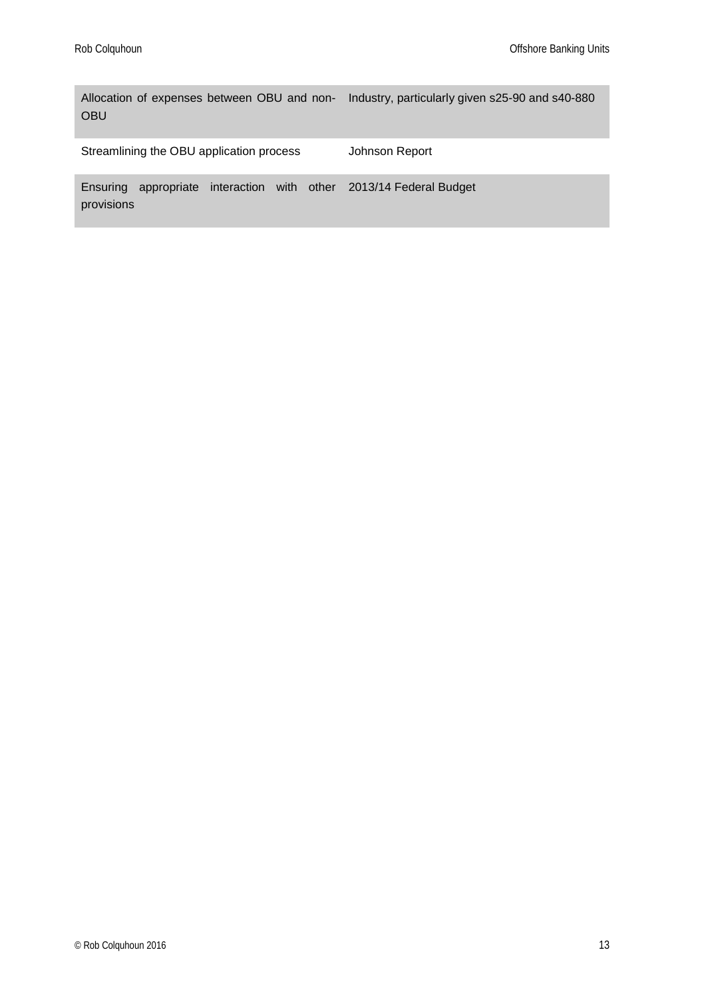Allocation of expenses between OBU and non-Industry, particularly given s25-90 and s40-880 OBU

Streamlining the OBU application process Johnson Report

Ensuring appropriate interaction with other 2013/14 Federal Budget provisions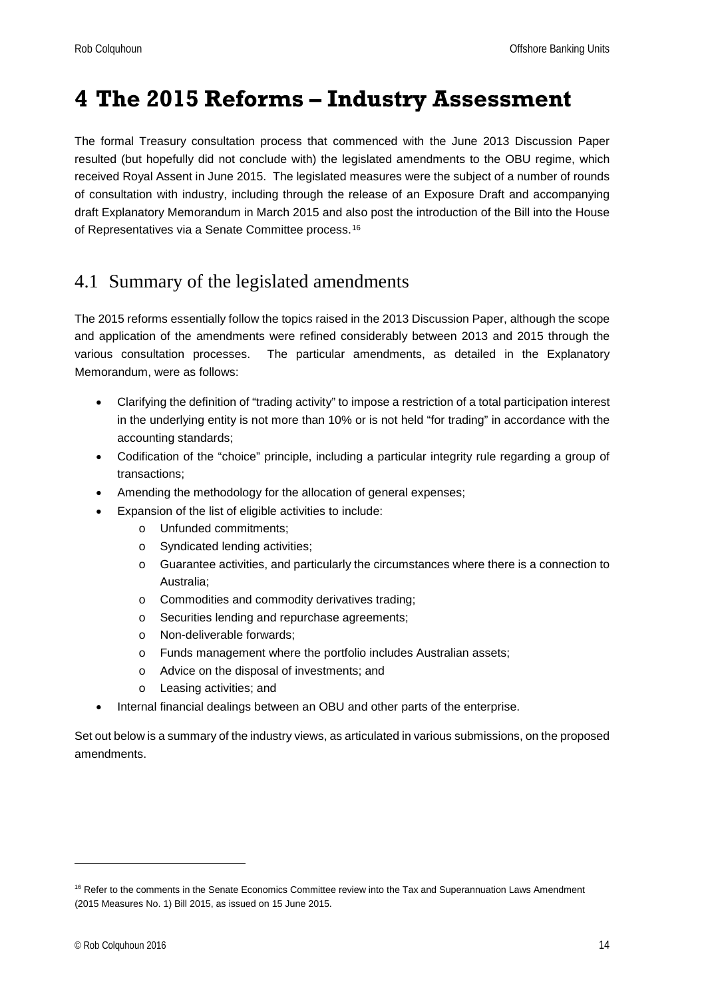## <span id="page-13-0"></span>**4 The 2015 Reforms – Industry Assessment**

The formal Treasury consultation process that commenced with the June 2013 Discussion Paper resulted (but hopefully did not conclude with) the legislated amendments to the OBU regime, which received Royal Assent in June 2015. The legislated measures were the subject of a number of rounds of consultation with industry, including through the release of an Exposure Draft and accompanying draft Explanatory Memorandum in March 2015 and also post the introduction of the Bill into the House of Representatives via a Senate Committee process.[16](#page-13-2)

## <span id="page-13-1"></span>4.1 Summary of the legislated amendments

The 2015 reforms essentially follow the topics raised in the 2013 Discussion Paper, although the scope and application of the amendments were refined considerably between 2013 and 2015 through the various consultation processes. The particular amendments, as detailed in the Explanatory Memorandum, were as follows:

- Clarifying the definition of "trading activity" to impose a restriction of a total participation interest in the underlying entity is not more than 10% or is not held "for trading" in accordance with the accounting standards;
- Codification of the "choice" principle, including a particular integrity rule regarding a group of transactions;
- Amending the methodology for the allocation of general expenses;
- Expansion of the list of eligible activities to include:
	- o Unfunded commitments;
	- o Syndicated lending activities;
	- o Guarantee activities, and particularly the circumstances where there is a connection to Australia;
	- o Commodities and commodity derivatives trading;
	- o Securities lending and repurchase agreements;
	- o Non-deliverable forwards;
	- o Funds management where the portfolio includes Australian assets;
	- o Advice on the disposal of investments; and
	- o Leasing activities; and
- Internal financial dealings between an OBU and other parts of the enterprise.

Set out below is a summary of the industry views, as articulated in various submissions, on the proposed amendments.

<span id="page-13-2"></span><sup>&</sup>lt;sup>16</sup> Refer to the comments in the Senate Economics Committee review into the Tax and Superannuation Laws Amendment (2015 Measures No. 1) Bill 2015, as issued on 15 June 2015.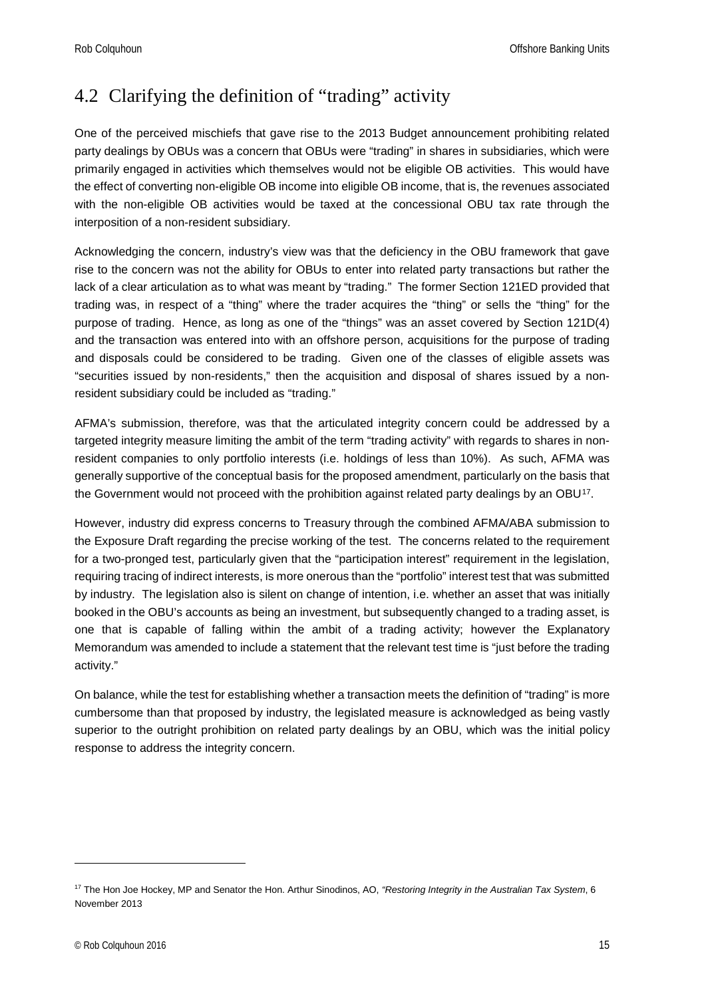## <span id="page-14-0"></span>4.2 Clarifying the definition of "trading" activity

One of the perceived mischiefs that gave rise to the 2013 Budget announcement prohibiting related party dealings by OBUs was a concern that OBUs were "trading" in shares in subsidiaries, which were primarily engaged in activities which themselves would not be eligible OB activities. This would have the effect of converting non-eligible OB income into eligible OB income, that is, the revenues associated with the non-eligible OB activities would be taxed at the concessional OBU tax rate through the interposition of a non-resident subsidiary.

Acknowledging the concern, industry's view was that the deficiency in the OBU framework that gave rise to the concern was not the ability for OBUs to enter into related party transactions but rather the lack of a clear articulation as to what was meant by "trading." The former Section 121ED provided that trading was, in respect of a "thing" where the trader acquires the "thing" or sells the "thing" for the purpose of trading. Hence, as long as one of the "things" was an asset covered by Section 121D(4) and the transaction was entered into with an offshore person, acquisitions for the purpose of trading and disposals could be considered to be trading. Given one of the classes of eligible assets was "securities issued by non-residents," then the acquisition and disposal of shares issued by a nonresident subsidiary could be included as "trading."

AFMA's submission, therefore, was that the articulated integrity concern could be addressed by a targeted integrity measure limiting the ambit of the term "trading activity" with regards to shares in nonresident companies to only portfolio interests (i.e. holdings of less than 10%). As such, AFMA was generally supportive of the conceptual basis for the proposed amendment, particularly on the basis that the Government would not proceed with the prohibition against related party dealings by an OBU<sup>[17](#page-14-1)</sup>.

However, industry did express concerns to Treasury through the combined AFMA/ABA submission to the Exposure Draft regarding the precise working of the test. The concerns related to the requirement for a two-pronged test, particularly given that the "participation interest" requirement in the legislation, requiring tracing of indirect interests, is more onerous than the "portfolio" interest test that was submitted by industry. The legislation also is silent on change of intention, i.e. whether an asset that was initially booked in the OBU's accounts as being an investment, but subsequently changed to a trading asset, is one that is capable of falling within the ambit of a trading activity; however the Explanatory Memorandum was amended to include a statement that the relevant test time is "just before the trading activity."

On balance, while the test for establishing whether a transaction meets the definition of "trading" is more cumbersome than that proposed by industry, the legislated measure is acknowledged as being vastly superior to the outright prohibition on related party dealings by an OBU, which was the initial policy response to address the integrity concern.

<span id="page-14-1"></span><sup>17</sup> The Hon Joe Hockey, MP and Senator the Hon. Arthur Sinodinos, AO, *"Restoring Integrity in the Australian Tax System*, 6 November 2013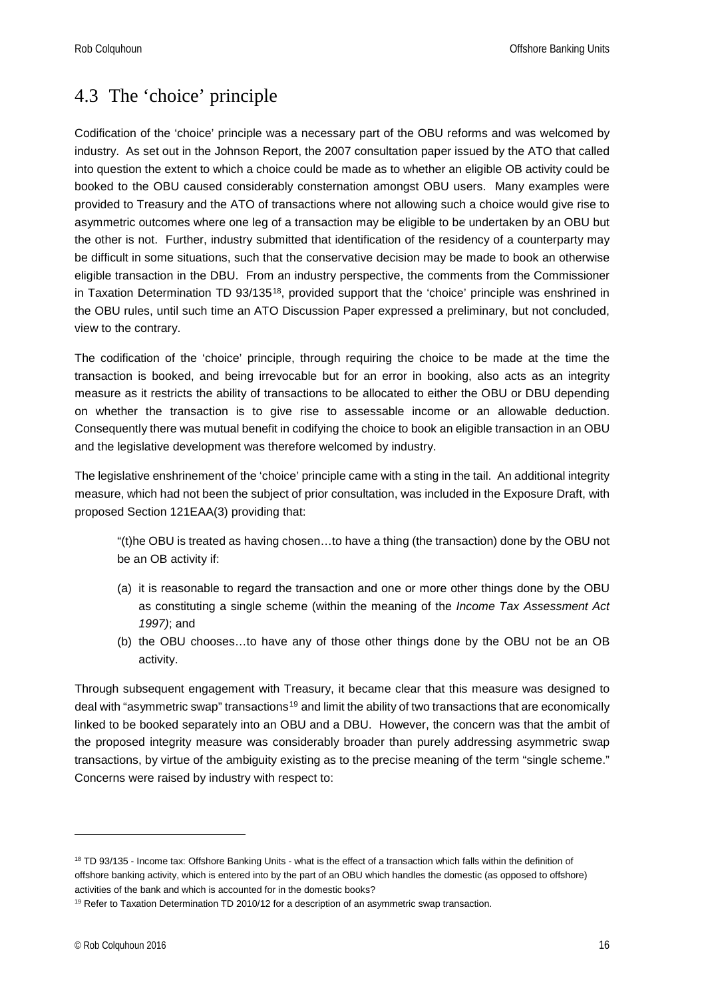## <span id="page-15-0"></span>4.3 The 'choice' principle

Codification of the 'choice' principle was a necessary part of the OBU reforms and was welcomed by industry. As set out in the Johnson Report, the 2007 consultation paper issued by the ATO that called into question the extent to which a choice could be made as to whether an eligible OB activity could be booked to the OBU caused considerably consternation amongst OBU users. Many examples were provided to Treasury and the ATO of transactions where not allowing such a choice would give rise to asymmetric outcomes where one leg of a transaction may be eligible to be undertaken by an OBU but the other is not. Further, industry submitted that identification of the residency of a counterparty may be difficult in some situations, such that the conservative decision may be made to book an otherwise eligible transaction in the DBU. From an industry perspective, the comments from the Commissioner in Taxation Determination TD 93/135<sup>[18](#page-15-1)</sup>, provided support that the 'choice' principle was enshrined in the OBU rules, until such time an ATO Discussion Paper expressed a preliminary, but not concluded, view to the contrary.

The codification of the 'choice' principle, through requiring the choice to be made at the time the transaction is booked, and being irrevocable but for an error in booking, also acts as an integrity measure as it restricts the ability of transactions to be allocated to either the OBU or DBU depending on whether the transaction is to give rise to assessable income or an allowable deduction. Consequently there was mutual benefit in codifying the choice to book an eligible transaction in an OBU and the legislative development was therefore welcomed by industry.

The legislative enshrinement of the 'choice' principle came with a sting in the tail. An additional integrity measure, which had not been the subject of prior consultation, was included in the Exposure Draft, with proposed Section 121EAA(3) providing that:

"(t)he OBU is treated as having chosen…to have a thing (the transaction) done by the OBU not be an OB activity if:

- (a) it is reasonable to regard the transaction and one or more other things done by the OBU as constituting a single scheme (within the meaning of the *Income Tax Assessment Act 1997)*; and
- (b) the OBU chooses…to have any of those other things done by the OBU not be an OB activity.

Through subsequent engagement with Treasury, it became clear that this measure was designed to deal with "asymmetric swap" transactions<sup>[19](#page-15-2)</sup> and limit the ability of two transactions that are economically linked to be booked separately into an OBU and a DBU. However, the concern was that the ambit of the proposed integrity measure was considerably broader than purely addressing asymmetric swap transactions, by virtue of the ambiguity existing as to the precise meaning of the term "single scheme." Concerns were raised by industry with respect to:

<span id="page-15-1"></span><sup>&</sup>lt;sup>18</sup> TD 93/135 - Income tax: Offshore Banking Units - what is the effect of a transaction which falls within the definition of offshore banking activity, which is entered into by the part of an OBU which handles the domestic (as opposed to offshore) activities of the bank and which is accounted for in the domestic books?

<span id="page-15-2"></span><sup>&</sup>lt;sup>19</sup> Refer to Taxation Determination TD 2010/12 for a description of an asymmetric swap transaction.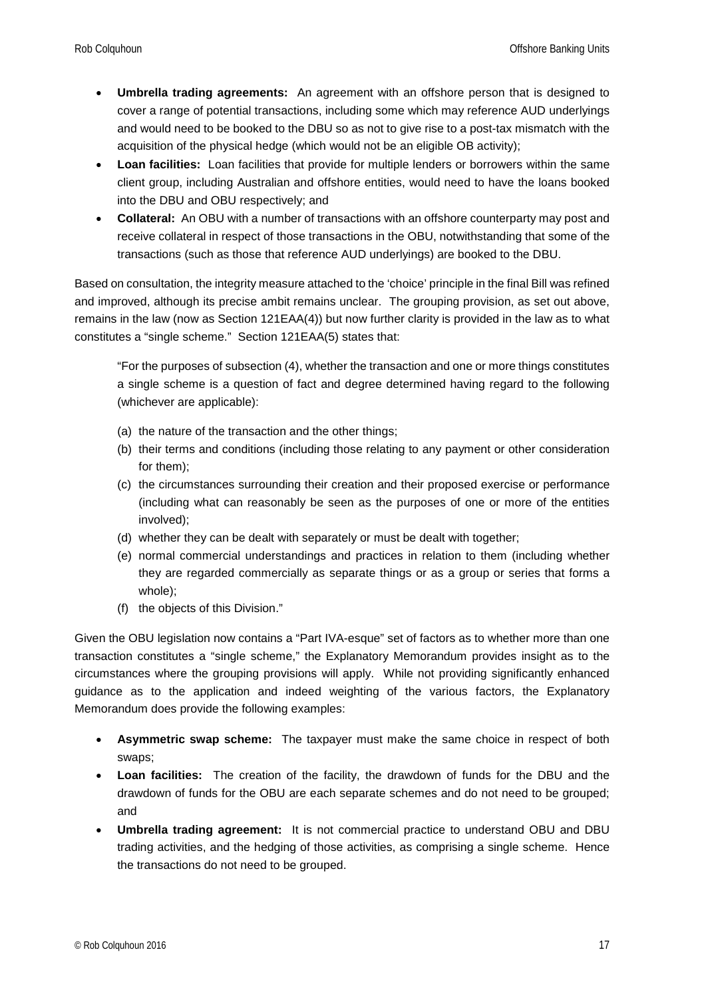- **Umbrella trading agreements:** An agreement with an offshore person that is designed to cover a range of potential transactions, including some which may reference AUD underlyings and would need to be booked to the DBU so as not to give rise to a post-tax mismatch with the acquisition of the physical hedge (which would not be an eligible OB activity);
- **Loan facilities:** Loan facilities that provide for multiple lenders or borrowers within the same client group, including Australian and offshore entities, would need to have the loans booked into the DBU and OBU respectively; and
- **Collateral:** An OBU with a number of transactions with an offshore counterparty may post and receive collateral in respect of those transactions in the OBU, notwithstanding that some of the transactions (such as those that reference AUD underlyings) are booked to the DBU.

Based on consultation, the integrity measure attached to the 'choice' principle in the final Bill was refined and improved, although its precise ambit remains unclear. The grouping provision, as set out above, remains in the law (now as Section 121EAA(4)) but now further clarity is provided in the law as to what constitutes a "single scheme." Section 121EAA(5) states that:

"For the purposes of subsection (4), whether the transaction and one or more things constitutes a single scheme is a question of fact and degree determined having regard to the following (whichever are applicable):

- (a) the nature of the transaction and the other things;
- (b) their terms and conditions (including those relating to any payment or other consideration for them);
- (c) the circumstances surrounding their creation and their proposed exercise or performance (including what can reasonably be seen as the purposes of one or more of the entities involved);
- (d) whether they can be dealt with separately or must be dealt with together;
- (e) normal commercial understandings and practices in relation to them (including whether they are regarded commercially as separate things or as a group or series that forms a whole);
- (f) the objects of this Division."

Given the OBU legislation now contains a "Part IVA-esque" set of factors as to whether more than one transaction constitutes a "single scheme," the Explanatory Memorandum provides insight as to the circumstances where the grouping provisions will apply. While not providing significantly enhanced guidance as to the application and indeed weighting of the various factors, the Explanatory Memorandum does provide the following examples:

- **Asymmetric swap scheme:** The taxpayer must make the same choice in respect of both swaps;
- **Loan facilities:** The creation of the facility, the drawdown of funds for the DBU and the drawdown of funds for the OBU are each separate schemes and do not need to be grouped; and
- **Umbrella trading agreement:** It is not commercial practice to understand OBU and DBU trading activities, and the hedging of those activities, as comprising a single scheme. Hence the transactions do not need to be grouped.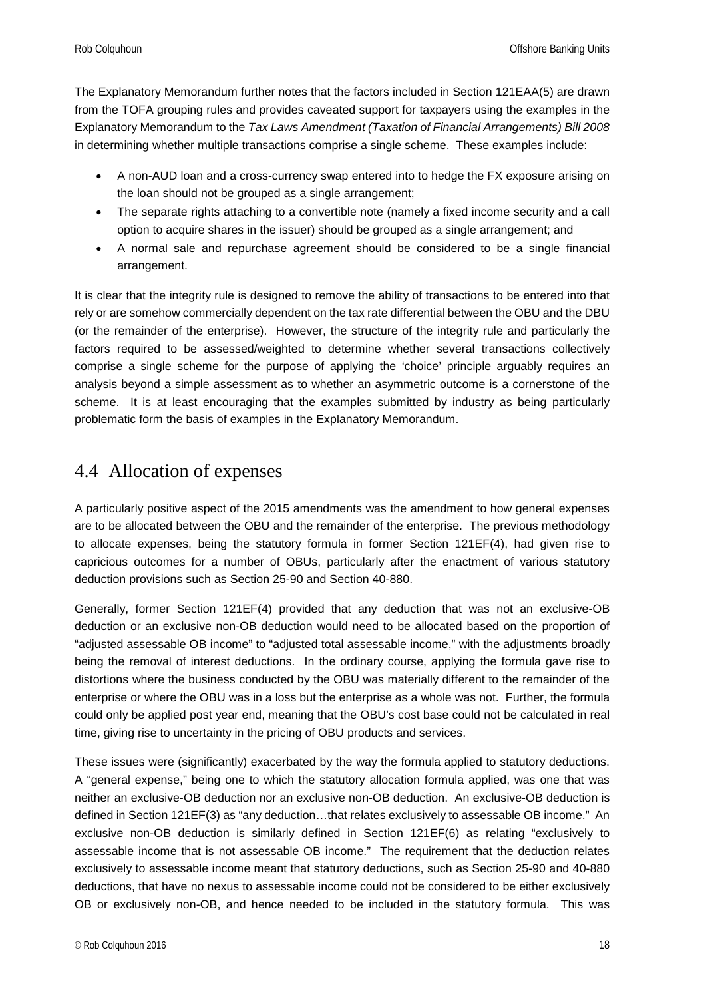The Explanatory Memorandum further notes that the factors included in Section 121EAA(5) are drawn from the TOFA grouping rules and provides caveated support for taxpayers using the examples in the Explanatory Memorandum to the *Tax Laws Amendment (Taxation of Financial Arrangements) Bill 2008* in determining whether multiple transactions comprise a single scheme. These examples include:

- A non-AUD loan and a cross-currency swap entered into to hedge the FX exposure arising on the loan should not be grouped as a single arrangement;
- The separate rights attaching to a convertible note (namely a fixed income security and a call option to acquire shares in the issuer) should be grouped as a single arrangement; and
- A normal sale and repurchase agreement should be considered to be a single financial arrangement.

It is clear that the integrity rule is designed to remove the ability of transactions to be entered into that rely or are somehow commercially dependent on the tax rate differential between the OBU and the DBU (or the remainder of the enterprise). However, the structure of the integrity rule and particularly the factors required to be assessed/weighted to determine whether several transactions collectively comprise a single scheme for the purpose of applying the 'choice' principle arguably requires an analysis beyond a simple assessment as to whether an asymmetric outcome is a cornerstone of the scheme. It is at least encouraging that the examples submitted by industry as being particularly problematic form the basis of examples in the Explanatory Memorandum.

### <span id="page-17-0"></span>4.4 Allocation of expenses

A particularly positive aspect of the 2015 amendments was the amendment to how general expenses are to be allocated between the OBU and the remainder of the enterprise. The previous methodology to allocate expenses, being the statutory formula in former Section 121EF(4), had given rise to capricious outcomes for a number of OBUs, particularly after the enactment of various statutory deduction provisions such as Section 25-90 and Section 40-880.

Generally, former Section 121EF(4) provided that any deduction that was not an exclusive-OB deduction or an exclusive non-OB deduction would need to be allocated based on the proportion of "adjusted assessable OB income" to "adjusted total assessable income," with the adjustments broadly being the removal of interest deductions. In the ordinary course, applying the formula gave rise to distortions where the business conducted by the OBU was materially different to the remainder of the enterprise or where the OBU was in a loss but the enterprise as a whole was not. Further, the formula could only be applied post year end, meaning that the OBU's cost base could not be calculated in real time, giving rise to uncertainty in the pricing of OBU products and services.

These issues were (significantly) exacerbated by the way the formula applied to statutory deductions. A "general expense," being one to which the statutory allocation formula applied, was one that was neither an exclusive-OB deduction nor an exclusive non-OB deduction. An exclusive-OB deduction is defined in Section 121EF(3) as "any deduction…that relates exclusively to assessable OB income." An exclusive non-OB deduction is similarly defined in Section 121EF(6) as relating "exclusively to assessable income that is not assessable OB income." The requirement that the deduction relates exclusively to assessable income meant that statutory deductions, such as Section 25-90 and 40-880 deductions, that have no nexus to assessable income could not be considered to be either exclusively OB or exclusively non-OB, and hence needed to be included in the statutory formula. This was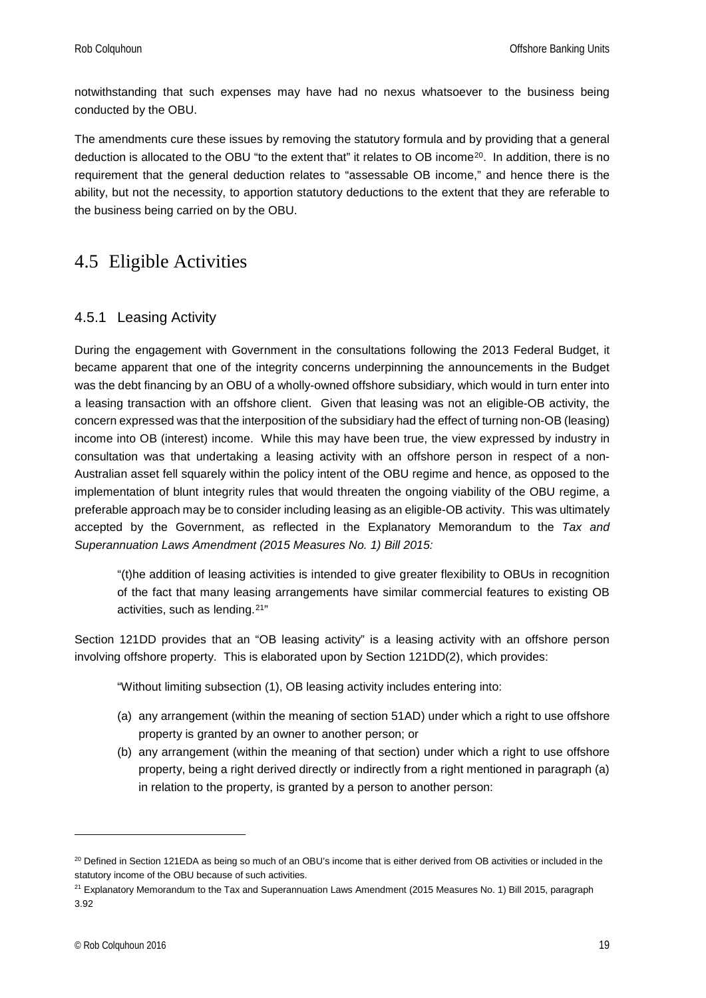notwithstanding that such expenses may have had no nexus whatsoever to the business being conducted by the OBU.

The amendments cure these issues by removing the statutory formula and by providing that a general deduction is allocated to the OBU "to the extent that" it relates to OB income<sup>20</sup>. In addition, there is no requirement that the general deduction relates to "assessable OB income," and hence there is the ability, but not the necessity, to apportion statutory deductions to the extent that they are referable to the business being carried on by the OBU.

## <span id="page-18-0"></span>4.5 Eligible Activities

#### <span id="page-18-1"></span>4.5.1 Leasing Activity

During the engagement with Government in the consultations following the 2013 Federal Budget, it became apparent that one of the integrity concerns underpinning the announcements in the Budget was the debt financing by an OBU of a wholly-owned offshore subsidiary, which would in turn enter into a leasing transaction with an offshore client. Given that leasing was not an eligible-OB activity, the concern expressed was that the interposition of the subsidiary had the effect of turning non-OB (leasing) income into OB (interest) income. While this may have been true, the view expressed by industry in consultation was that undertaking a leasing activity with an offshore person in respect of a non-Australian asset fell squarely within the policy intent of the OBU regime and hence, as opposed to the implementation of blunt integrity rules that would threaten the ongoing viability of the OBU regime, a preferable approach may be to consider including leasing as an eligible-OB activity. This was ultimately accepted by the Government, as reflected in the Explanatory Memorandum to the *Tax and Superannuation Laws Amendment (2015 Measures No. 1) Bill 2015:*

"(t)he addition of leasing activities is intended to give greater flexibility to OBUs in recognition of the fact that many leasing arrangements have similar commercial features to existing OB activities, such as lending.[21"](#page-18-3)

Section 121DD provides that an "OB leasing activity" is a leasing activity with an offshore person involving offshore property. This is elaborated upon by Section 121DD(2), which provides:

"Without limiting subsection (1), OB leasing activity includes entering into:

- (a) any arrangement (within the meaning of section 51AD) under which a right to use offshore property is granted by an owner to another person; or
- (b) any arrangement (within the meaning of that section) under which a right to use offshore property, being a right derived directly or indirectly from a right mentioned in paragraph (a) in relation to the property, is granted by a person to another person:

<span id="page-18-2"></span><sup>&</sup>lt;sup>20</sup> Defined in Section 121EDA as being so much of an OBU's income that is either derived from OB activities or included in the statutory income of the OBU because of such activities.

<span id="page-18-3"></span><sup>&</sup>lt;sup>21</sup> Explanatory Memorandum to the Tax and Superannuation Laws Amendment (2015 Measures No. 1) Bill 2015, paragraph 3.92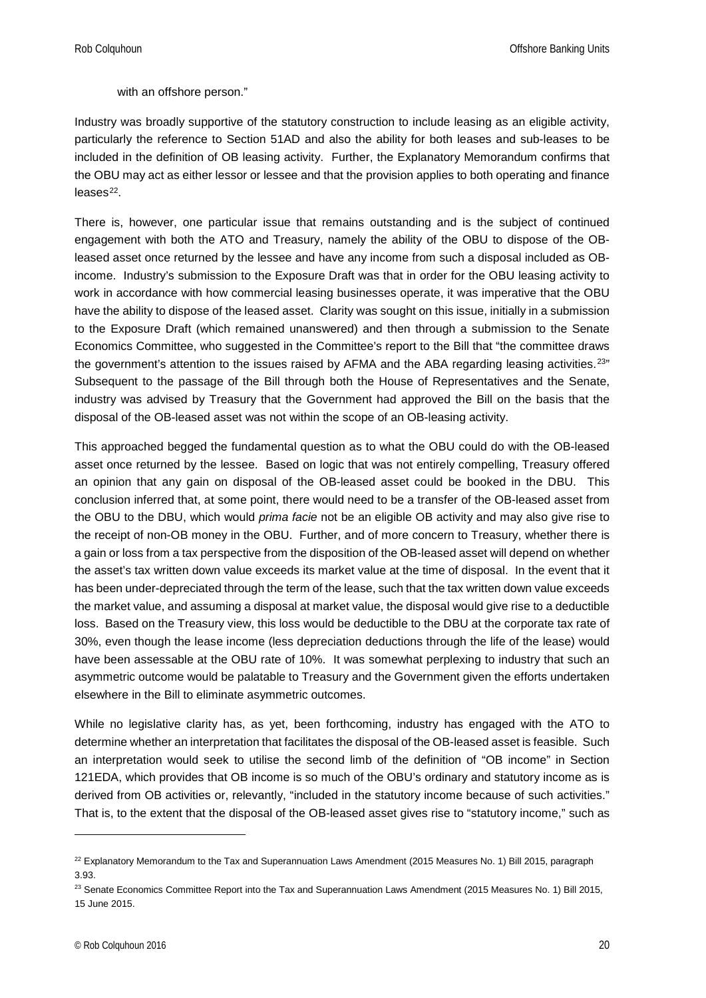#### with an offshore person."

Industry was broadly supportive of the statutory construction to include leasing as an eligible activity, particularly the reference to Section 51AD and also the ability for both leases and sub-leases to be included in the definition of OB leasing activity. Further, the Explanatory Memorandum confirms that the OBU may act as either lessor or lessee and that the provision applies to both operating and finance  $leases<sup>22</sup>$ .

There is, however, one particular issue that remains outstanding and is the subject of continued engagement with both the ATO and Treasury, namely the ability of the OBU to dispose of the OBleased asset once returned by the lessee and have any income from such a disposal included as OBincome. Industry's submission to the Exposure Draft was that in order for the OBU leasing activity to work in accordance with how commercial leasing businesses operate, it was imperative that the OBU have the ability to dispose of the leased asset. Clarity was sought on this issue, initially in a submission to the Exposure Draft (which remained unanswered) and then through a submission to the Senate Economics Committee, who suggested in the Committee's report to the Bill that "the committee draws the government's attention to the issues raised by AFMA and the ABA regarding leasing activities.<sup>[23"](#page-19-1)</sup> Subsequent to the passage of the Bill through both the House of Representatives and the Senate, industry was advised by Treasury that the Government had approved the Bill on the basis that the disposal of the OB-leased asset was not within the scope of an OB-leasing activity.

This approached begged the fundamental question as to what the OBU could do with the OB-leased asset once returned by the lessee. Based on logic that was not entirely compelling, Treasury offered an opinion that any gain on disposal of the OB-leased asset could be booked in the DBU. This conclusion inferred that, at some point, there would need to be a transfer of the OB-leased asset from the OBU to the DBU, which would *prima facie* not be an eligible OB activity and may also give rise to the receipt of non-OB money in the OBU. Further, and of more concern to Treasury, whether there is a gain or loss from a tax perspective from the disposition of the OB-leased asset will depend on whether the asset's tax written down value exceeds its market value at the time of disposal. In the event that it has been under-depreciated through the term of the lease, such that the tax written down value exceeds the market value, and assuming a disposal at market value, the disposal would give rise to a deductible loss. Based on the Treasury view, this loss would be deductible to the DBU at the corporate tax rate of 30%, even though the lease income (less depreciation deductions through the life of the lease) would have been assessable at the OBU rate of 10%. It was somewhat perplexing to industry that such an asymmetric outcome would be palatable to Treasury and the Government given the efforts undertaken elsewhere in the Bill to eliminate asymmetric outcomes.

While no legislative clarity has, as yet, been forthcoming, industry has engaged with the ATO to determine whether an interpretation that facilitates the disposal of the OB-leased asset is feasible. Such an interpretation would seek to utilise the second limb of the definition of "OB income" in Section 121EDA, which provides that OB income is so much of the OBU's ordinary and statutory income as is derived from OB activities or, relevantly, "included in the statutory income because of such activities." That is, to the extent that the disposal of the OB-leased asset gives rise to "statutory income," such as

<span id="page-19-0"></span> $22$  Explanatory Memorandum to the Tax and Superannuation Laws Amendment (2015 Measures No. 1) Bill 2015, paragraph 3.93.

<span id="page-19-1"></span><sup>&</sup>lt;sup>23</sup> Senate Economics Committee Report into the Tax and Superannuation Laws Amendment (2015 Measures No. 1) Bill 2015, 15 June 2015.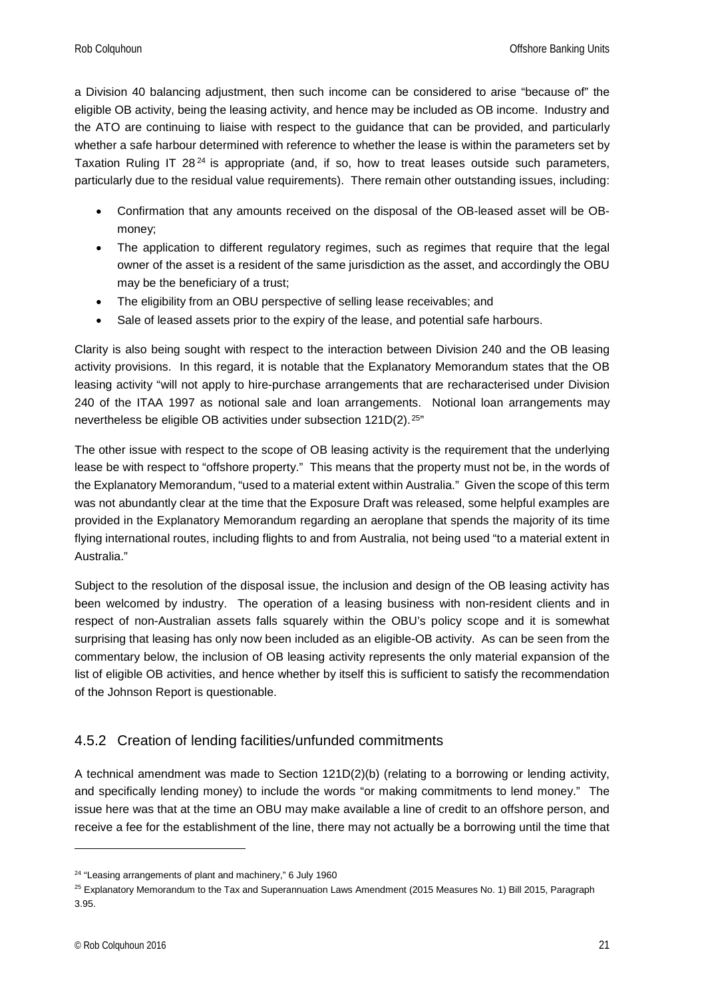a Division 40 balancing adjustment, then such income can be considered to arise "because of" the eligible OB activity, being the leasing activity, and hence may be included as OB income. Industry and the ATO are continuing to liaise with respect to the guidance that can be provided, and particularly whether a safe harbour determined with reference to whether the lease is within the parameters set by Taxation Ruling IT  $28^{24}$  $28^{24}$  $28^{24}$  is appropriate (and, if so, how to treat leases outside such parameters, particularly due to the residual value requirements). There remain other outstanding issues, including:

- Confirmation that any amounts received on the disposal of the OB-leased asset will be OBmoney;
- The application to different regulatory regimes, such as regimes that require that the legal owner of the asset is a resident of the same jurisdiction as the asset, and accordingly the OBU may be the beneficiary of a trust;
- The eligibility from an OBU perspective of selling lease receivables; and
- Sale of leased assets prior to the expiry of the lease, and potential safe harbours.

Clarity is also being sought with respect to the interaction between Division 240 and the OB leasing activity provisions. In this regard, it is notable that the Explanatory Memorandum states that the OB leasing activity "will not apply to hire-purchase arrangements that are recharacterised under Division 240 of the ITAA 1997 as notional sale and loan arrangements. Notional loan arrangements may nevertheless be eligible OB activities under subsection 121D(2).<sup>[25](#page-20-2)"</sup>

The other issue with respect to the scope of OB leasing activity is the requirement that the underlying lease be with respect to "offshore property." This means that the property must not be, in the words of the Explanatory Memorandum, "used to a material extent within Australia." Given the scope of this term was not abundantly clear at the time that the Exposure Draft was released, some helpful examples are provided in the Explanatory Memorandum regarding an aeroplane that spends the majority of its time flying international routes, including flights to and from Australia, not being used "to a material extent in Australia."

Subject to the resolution of the disposal issue, the inclusion and design of the OB leasing activity has been welcomed by industry. The operation of a leasing business with non-resident clients and in respect of non-Australian assets falls squarely within the OBU's policy scope and it is somewhat surprising that leasing has only now been included as an eligible-OB activity. As can be seen from the commentary below, the inclusion of OB leasing activity represents the only material expansion of the list of eligible OB activities, and hence whether by itself this is sufficient to satisfy the recommendation of the Johnson Report is questionable.

#### <span id="page-20-0"></span>4.5.2 Creation of lending facilities/unfunded commitments

A technical amendment was made to Section 121D(2)(b) (relating to a borrowing or lending activity, and specifically lending money) to include the words "or making commitments to lend money." The issue here was that at the time an OBU may make available a line of credit to an offshore person, and receive a fee for the establishment of the line, there may not actually be a borrowing until the time that

<span id="page-20-1"></span><sup>&</sup>lt;sup>24</sup> "Leasing arrangements of plant and machinery," 6 July 1960

<span id="page-20-2"></span><sup>&</sup>lt;sup>25</sup> Explanatory Memorandum to the Tax and Superannuation Laws Amendment (2015 Measures No. 1) Bill 2015, Paragraph 3.95.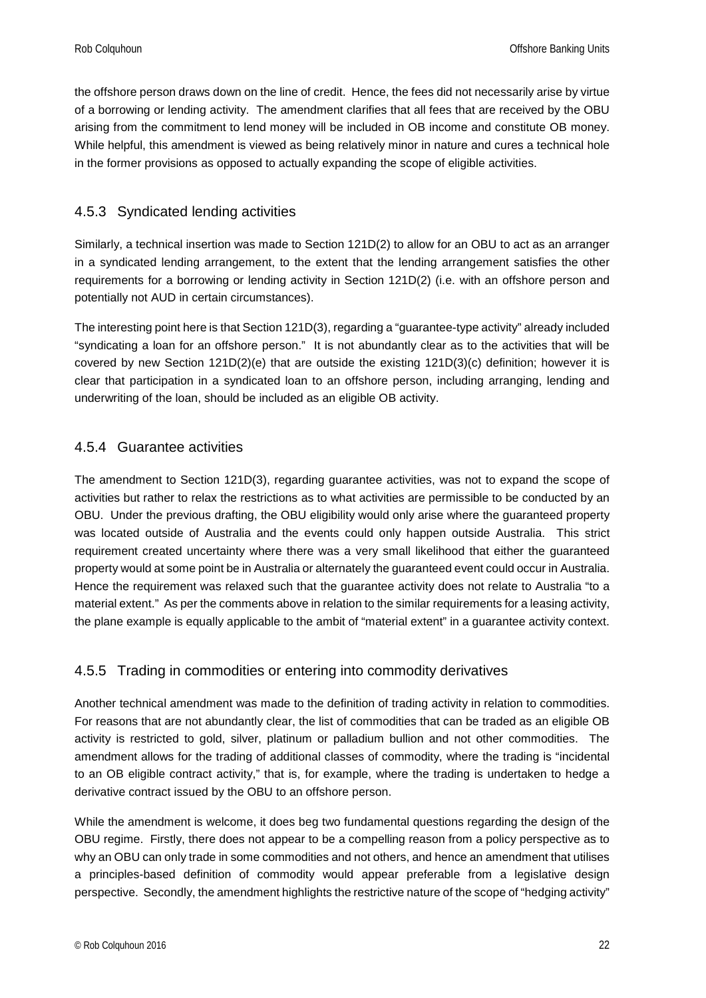the offshore person draws down on the line of credit. Hence, the fees did not necessarily arise by virtue of a borrowing or lending activity. The amendment clarifies that all fees that are received by the OBU arising from the commitment to lend money will be included in OB income and constitute OB money. While helpful, this amendment is viewed as being relatively minor in nature and cures a technical hole in the former provisions as opposed to actually expanding the scope of eligible activities.

#### <span id="page-21-0"></span>4.5.3 Syndicated lending activities

Similarly, a technical insertion was made to Section 121D(2) to allow for an OBU to act as an arranger in a syndicated lending arrangement, to the extent that the lending arrangement satisfies the other requirements for a borrowing or lending activity in Section 121D(2) (i.e. with an offshore person and potentially not AUD in certain circumstances).

The interesting point here is that Section 121D(3), regarding a "guarantee-type activity" already included "syndicating a loan for an offshore person." It is not abundantly clear as to the activities that will be covered by new Section 121D(2)(e) that are outside the existing 121D(3)(c) definition; however it is clear that participation in a syndicated loan to an offshore person, including arranging, lending and underwriting of the loan, should be included as an eligible OB activity.

#### <span id="page-21-1"></span>4.5.4 Guarantee activities

The amendment to Section 121D(3), regarding guarantee activities, was not to expand the scope of activities but rather to relax the restrictions as to what activities are permissible to be conducted by an OBU. Under the previous drafting, the OBU eligibility would only arise where the guaranteed property was located outside of Australia and the events could only happen outside Australia. This strict requirement created uncertainty where there was a very small likelihood that either the guaranteed property would at some point be in Australia or alternately the guaranteed event could occur in Australia. Hence the requirement was relaxed such that the guarantee activity does not relate to Australia "to a material extent." As per the comments above in relation to the similar requirements for a leasing activity, the plane example is equally applicable to the ambit of "material extent" in a guarantee activity context.

#### <span id="page-21-2"></span>4.5.5 Trading in commodities or entering into commodity derivatives

Another technical amendment was made to the definition of trading activity in relation to commodities. For reasons that are not abundantly clear, the list of commodities that can be traded as an eligible OB activity is restricted to gold, silver, platinum or palladium bullion and not other commodities. The amendment allows for the trading of additional classes of commodity, where the trading is "incidental to an OB eligible contract activity," that is, for example, where the trading is undertaken to hedge a derivative contract issued by the OBU to an offshore person.

While the amendment is welcome, it does beg two fundamental questions regarding the design of the OBU regime. Firstly, there does not appear to be a compelling reason from a policy perspective as to why an OBU can only trade in some commodities and not others, and hence an amendment that utilises a principles-based definition of commodity would appear preferable from a legislative design perspective. Secondly, the amendment highlights the restrictive nature of the scope of "hedging activity"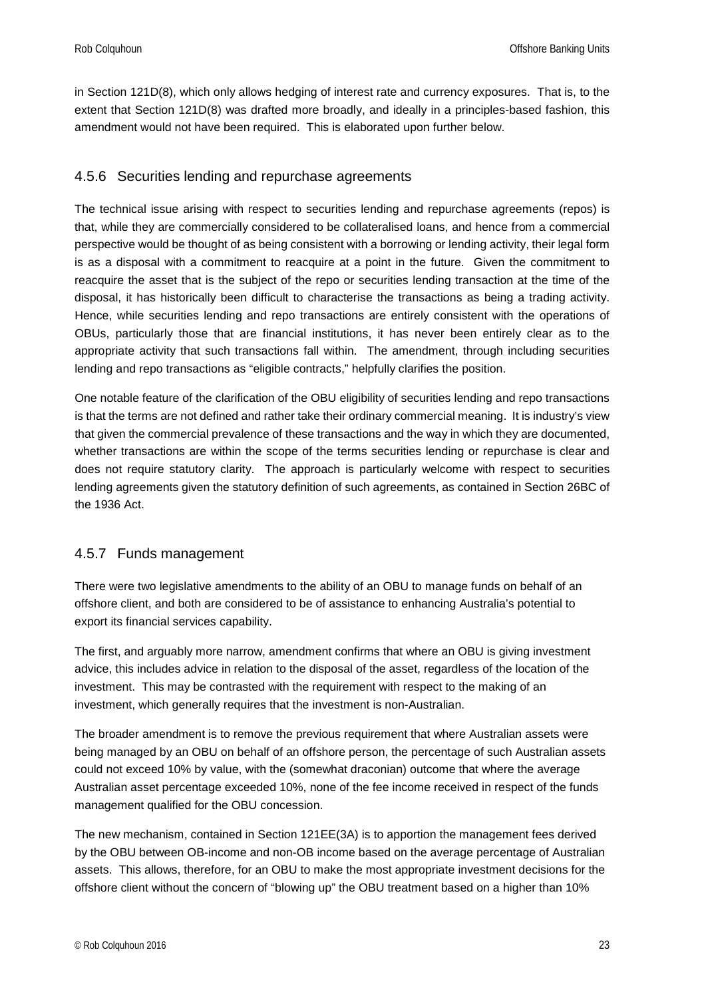in Section 121D(8), which only allows hedging of interest rate and currency exposures. That is, to the extent that Section 121D(8) was drafted more broadly, and ideally in a principles-based fashion, this amendment would not have been required. This is elaborated upon further below.

#### <span id="page-22-0"></span>4.5.6 Securities lending and repurchase agreements

The technical issue arising with respect to securities lending and repurchase agreements (repos) is that, while they are commercially considered to be collateralised loans, and hence from a commercial perspective would be thought of as being consistent with a borrowing or lending activity, their legal form is as a disposal with a commitment to reacquire at a point in the future. Given the commitment to reacquire the asset that is the subject of the repo or securities lending transaction at the time of the disposal, it has historically been difficult to characterise the transactions as being a trading activity. Hence, while securities lending and repo transactions are entirely consistent with the operations of OBUs, particularly those that are financial institutions, it has never been entirely clear as to the appropriate activity that such transactions fall within. The amendment, through including securities lending and repo transactions as "eligible contracts," helpfully clarifies the position.

One notable feature of the clarification of the OBU eligibility of securities lending and repo transactions is that the terms are not defined and rather take their ordinary commercial meaning. It is industry's view that given the commercial prevalence of these transactions and the way in which they are documented, whether transactions are within the scope of the terms securities lending or repurchase is clear and does not require statutory clarity. The approach is particularly welcome with respect to securities lending agreements given the statutory definition of such agreements, as contained in Section 26BC of the 1936 Act.

#### <span id="page-22-1"></span>4.5.7 Funds management

There were two legislative amendments to the ability of an OBU to manage funds on behalf of an offshore client, and both are considered to be of assistance to enhancing Australia's potential to export its financial services capability.

The first, and arguably more narrow, amendment confirms that where an OBU is giving investment advice, this includes advice in relation to the disposal of the asset, regardless of the location of the investment. This may be contrasted with the requirement with respect to the making of an investment, which generally requires that the investment is non-Australian.

The broader amendment is to remove the previous requirement that where Australian assets were being managed by an OBU on behalf of an offshore person, the percentage of such Australian assets could not exceed 10% by value, with the (somewhat draconian) outcome that where the average Australian asset percentage exceeded 10%, none of the fee income received in respect of the funds management qualified for the OBU concession.

The new mechanism, contained in Section 121EE(3A) is to apportion the management fees derived by the OBU between OB-income and non-OB income based on the average percentage of Australian assets. This allows, therefore, for an OBU to make the most appropriate investment decisions for the offshore client without the concern of "blowing up" the OBU treatment based on a higher than 10%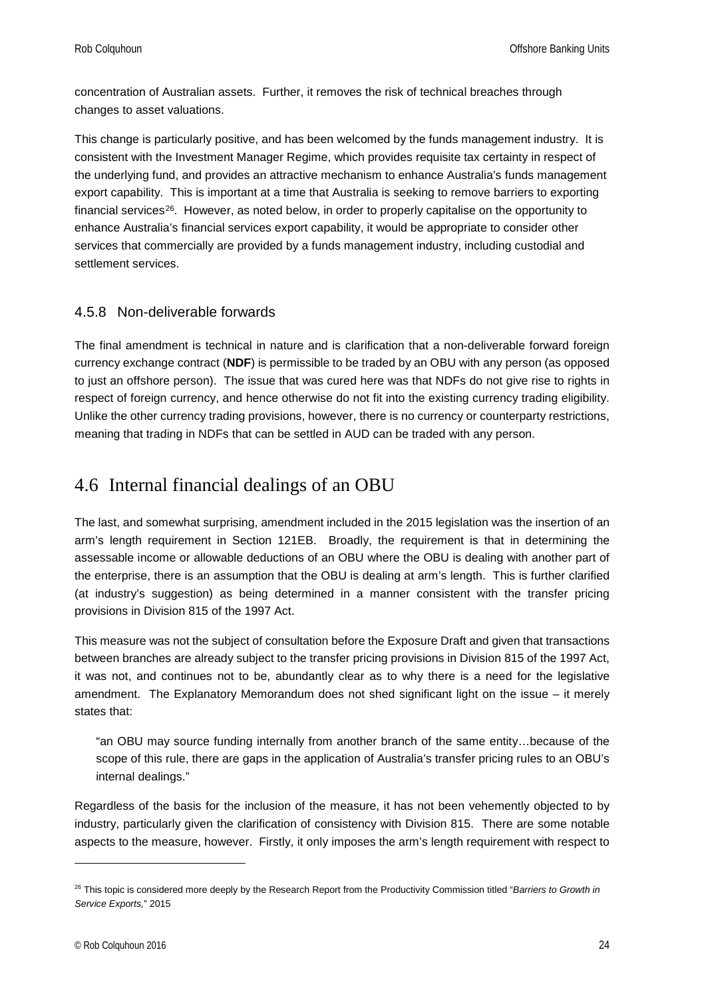concentration of Australian assets. Further, it removes the risk of technical breaches through changes to asset valuations.

This change is particularly positive, and has been welcomed by the funds management industry. It is consistent with the Investment Manager Regime, which provides requisite tax certainty in respect of the underlying fund, and provides an attractive mechanism to enhance Australia's funds management export capability. This is important at a time that Australia is seeking to remove barriers to exporting financial services<sup>26</sup>. However, as noted below, in order to properly capitalise on the opportunity to enhance Australia's financial services export capability, it would be appropriate to consider other services that commercially are provided by a funds management industry, including custodial and settlement services.

#### <span id="page-23-0"></span>4.5.8 Non-deliverable forwards

The final amendment is technical in nature and is clarification that a non-deliverable forward foreign currency exchange contract (**NDF**) is permissible to be traded by an OBU with any person (as opposed to just an offshore person). The issue that was cured here was that NDFs do not give rise to rights in respect of foreign currency, and hence otherwise do not fit into the existing currency trading eligibility. Unlike the other currency trading provisions, however, there is no currency or counterparty restrictions, meaning that trading in NDFs that can be settled in AUD can be traded with any person.

### <span id="page-23-1"></span>4.6 Internal financial dealings of an OBU

The last, and somewhat surprising, amendment included in the 2015 legislation was the insertion of an arm's length requirement in Section 121EB. Broadly, the requirement is that in determining the assessable income or allowable deductions of an OBU where the OBU is dealing with another part of the enterprise, there is an assumption that the OBU is dealing at arm's length. This is further clarified (at industry's suggestion) as being determined in a manner consistent with the transfer pricing provisions in Division 815 of the 1997 Act.

This measure was not the subject of consultation before the Exposure Draft and given that transactions between branches are already subject to the transfer pricing provisions in Division 815 of the 1997 Act, it was not, and continues not to be, abundantly clear as to why there is a need for the legislative amendment. The Explanatory Memorandum does not shed significant light on the issue – it merely states that:

"an OBU may source funding internally from another branch of the same entity…because of the scope of this rule, there are gaps in the application of Australia's transfer pricing rules to an OBU's internal dealings."

Regardless of the basis for the inclusion of the measure, it has not been vehemently objected to by industry, particularly given the clarification of consistency with Division 815. There are some notable aspects to the measure, however. Firstly, it only imposes the arm's length requirement with respect to

<span id="page-23-2"></span><sup>26</sup> This topic is considered more deeply by the Research Report from the Productivity Commission titled "*Barriers to Growth in Service Exports,*" 2015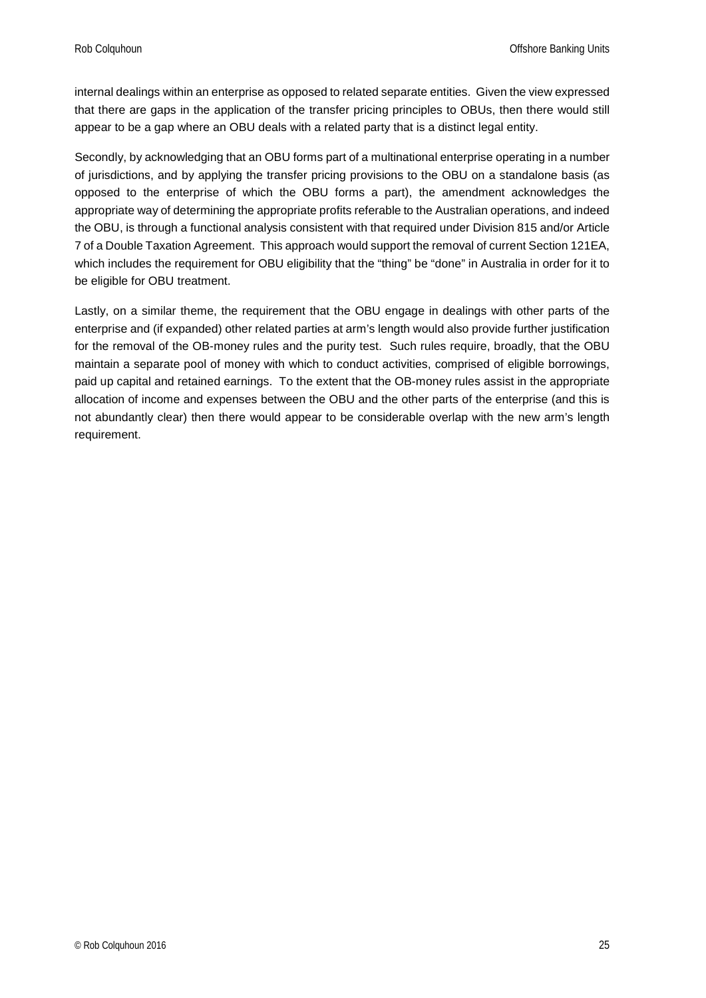internal dealings within an enterprise as opposed to related separate entities. Given the view expressed that there are gaps in the application of the transfer pricing principles to OBUs, then there would still appear to be a gap where an OBU deals with a related party that is a distinct legal entity.

Secondly, by acknowledging that an OBU forms part of a multinational enterprise operating in a number of jurisdictions, and by applying the transfer pricing provisions to the OBU on a standalone basis (as opposed to the enterprise of which the OBU forms a part), the amendment acknowledges the appropriate way of determining the appropriate profits referable to the Australian operations, and indeed the OBU, is through a functional analysis consistent with that required under Division 815 and/or Article 7 of a Double Taxation Agreement. This approach would support the removal of current Section 121EA, which includes the requirement for OBU eligibility that the "thing" be "done" in Australia in order for it to be eligible for OBU treatment.

Lastly, on a similar theme, the requirement that the OBU engage in dealings with other parts of the enterprise and (if expanded) other related parties at arm's length would also provide further justification for the removal of the OB-money rules and the purity test. Such rules require, broadly, that the OBU maintain a separate pool of money with which to conduct activities, comprised of eligible borrowings, paid up capital and retained earnings. To the extent that the OB-money rules assist in the appropriate allocation of income and expenses between the OBU and the other parts of the enterprise (and this is not abundantly clear) then there would appear to be considerable overlap with the new arm's length requirement.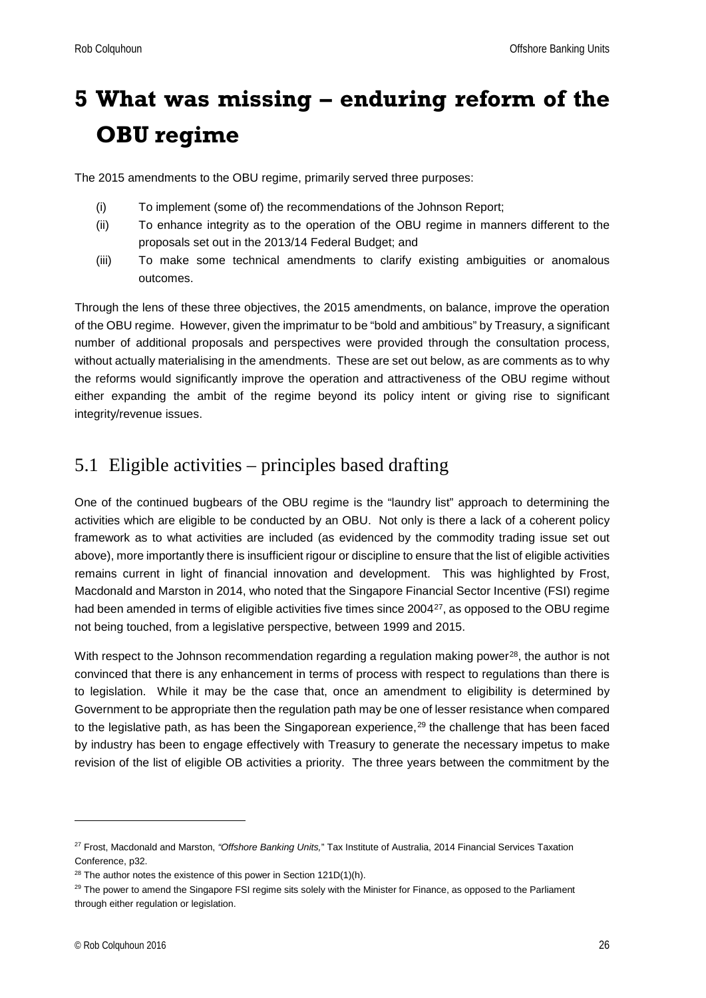## <span id="page-25-0"></span>**5 What was missing – enduring reform of the OBU regime**

The 2015 amendments to the OBU regime, primarily served three purposes:

- (i) To implement (some of) the recommendations of the Johnson Report;
- (ii) To enhance integrity as to the operation of the OBU regime in manners different to the proposals set out in the 2013/14 Federal Budget; and
- (iii) To make some technical amendments to clarify existing ambiguities or anomalous outcomes.

Through the lens of these three objectives, the 2015 amendments, on balance, improve the operation of the OBU regime. However, given the imprimatur to be "bold and ambitious" by Treasury, a significant number of additional proposals and perspectives were provided through the consultation process, without actually materialising in the amendments. These are set out below, as are comments as to why the reforms would significantly improve the operation and attractiveness of the OBU regime without either expanding the ambit of the regime beyond its policy intent or giving rise to significant integrity/revenue issues.

## <span id="page-25-1"></span>5.1 Eligible activities – principles based drafting

One of the continued bugbears of the OBU regime is the "laundry list" approach to determining the activities which are eligible to be conducted by an OBU. Not only is there a lack of a coherent policy framework as to what activities are included (as evidenced by the commodity trading issue set out above), more importantly there is insufficient rigour or discipline to ensure that the list of eligible activities remains current in light of financial innovation and development. This was highlighted by Frost, Macdonald and Marston in 2014, who noted that the Singapore Financial Sector Incentive (FSI) regime had been amended in terms of eligible activities five times since 2004<sup>27</sup>, as opposed to the OBU regime not being touched, from a legislative perspective, between 1999 and 2015.

With respect to the Johnson recommendation regarding a regulation making power<sup>[28](#page-25-3)</sup>, the author is not convinced that there is any enhancement in terms of process with respect to regulations than there is to legislation. While it may be the case that, once an amendment to eligibility is determined by Government to be appropriate then the regulation path may be one of lesser resistance when compared to the legislative path, as has been the Singaporean experience, $29$  the challenge that has been faced by industry has been to engage effectively with Treasury to generate the necessary impetus to make revision of the list of eligible OB activities a priority. The three years between the commitment by the

<span id="page-25-2"></span><sup>27</sup> Frost, Macdonald and Marston, *"Offshore Banking Units,*" Tax Institute of Australia, 2014 Financial Services Taxation Conference, p32.

<span id="page-25-3"></span> $28$  The author notes the existence of this power in Section 121D(1)(h).

<span id="page-25-4"></span><sup>&</sup>lt;sup>29</sup> The power to amend the Singapore FSI regime sits solely with the Minister for Finance, as opposed to the Parliament through either regulation or legislation.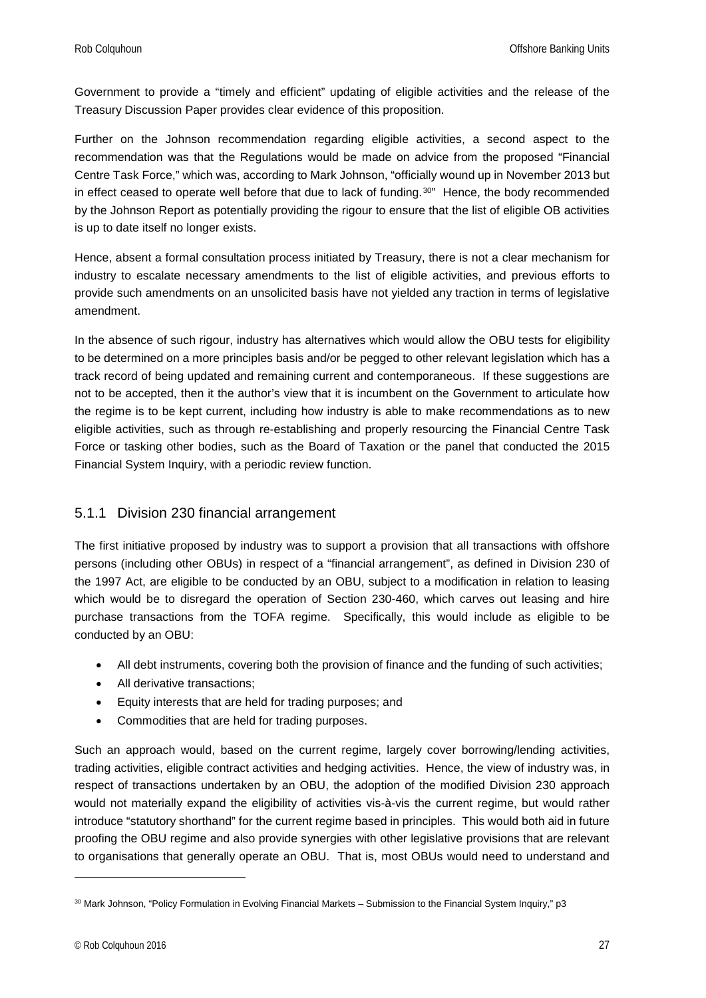Government to provide a "timely and efficient" updating of eligible activities and the release of the Treasury Discussion Paper provides clear evidence of this proposition.

Further on the Johnson recommendation regarding eligible activities, a second aspect to the recommendation was that the Regulations would be made on advice from the proposed "Financial Centre Task Force," which was, according to Mark Johnson, "officially wound up in November 2013 but in effect ceased to operate well before that due to lack of funding.<sup>[30](#page-26-1)"</sup> Hence, the body recommended by the Johnson Report as potentially providing the rigour to ensure that the list of eligible OB activities is up to date itself no longer exists.

Hence, absent a formal consultation process initiated by Treasury, there is not a clear mechanism for industry to escalate necessary amendments to the list of eligible activities, and previous efforts to provide such amendments on an unsolicited basis have not yielded any traction in terms of legislative amendment.

In the absence of such rigour, industry has alternatives which would allow the OBU tests for eligibility to be determined on a more principles basis and/or be pegged to other relevant legislation which has a track record of being updated and remaining current and contemporaneous. If these suggestions are not to be accepted, then it the author's view that it is incumbent on the Government to articulate how the regime is to be kept current, including how industry is able to make recommendations as to new eligible activities, such as through re-establishing and properly resourcing the Financial Centre Task Force or tasking other bodies, such as the Board of Taxation or the panel that conducted the 2015 Financial System Inquiry, with a periodic review function.

#### <span id="page-26-0"></span>5.1.1 Division 230 financial arrangement

The first initiative proposed by industry was to support a provision that all transactions with offshore persons (including other OBUs) in respect of a "financial arrangement", as defined in Division 230 of the 1997 Act, are eligible to be conducted by an OBU, subject to a modification in relation to leasing which would be to disregard the operation of Section 230-460, which carves out leasing and hire purchase transactions from the TOFA regime. Specifically, this would include as eligible to be conducted by an OBU:

- All debt instruments, covering both the provision of finance and the funding of such activities;
- All derivative transactions;
- Equity interests that are held for trading purposes; and
- Commodities that are held for trading purposes.

Such an approach would, based on the current regime, largely cover borrowing/lending activities, trading activities, eligible contract activities and hedging activities. Hence, the view of industry was, in respect of transactions undertaken by an OBU, the adoption of the modified Division 230 approach would not materially expand the eligibility of activities vis-à-vis the current regime, but would rather introduce "statutory shorthand" for the current regime based in principles. This would both aid in future proofing the OBU regime and also provide synergies with other legislative provisions that are relevant to organisations that generally operate an OBU. That is, most OBUs would need to understand and

<span id="page-26-1"></span><sup>30</sup> Mark Johnson, "Policy Formulation in Evolving Financial Markets – Submission to the Financial System Inquiry," p3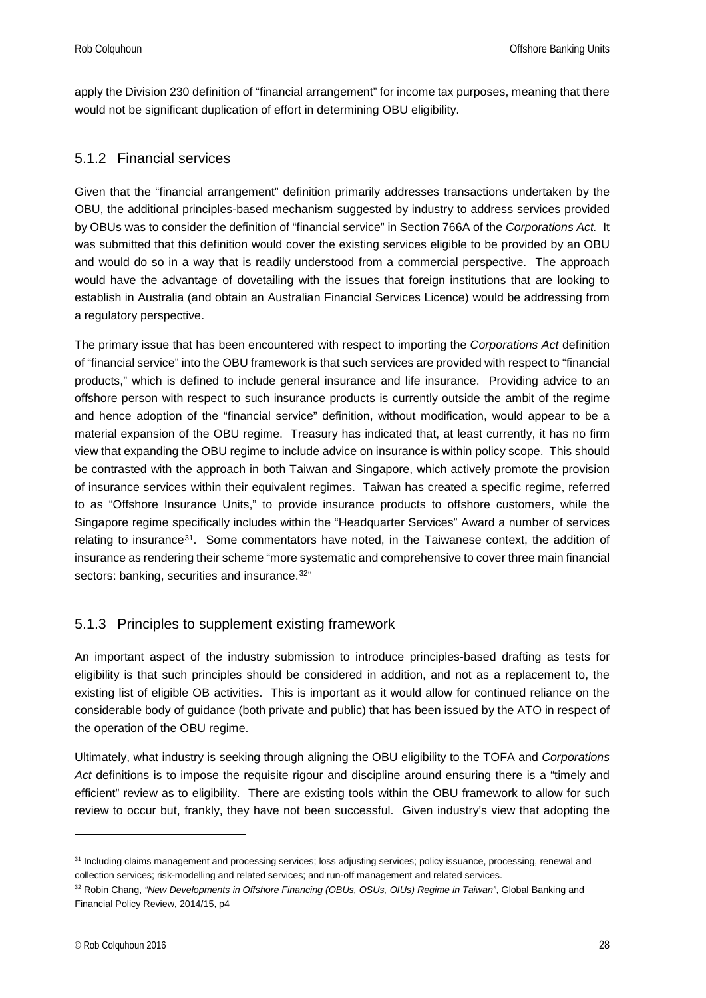apply the Division 230 definition of "financial arrangement" for income tax purposes, meaning that there would not be significant duplication of effort in determining OBU eligibility.

#### <span id="page-27-0"></span>5.1.2 Financial services

Given that the "financial arrangement" definition primarily addresses transactions undertaken by the OBU, the additional principles-based mechanism suggested by industry to address services provided by OBUs was to consider the definition of "financial service" in Section 766A of the *Corporations Act.* It was submitted that this definition would cover the existing services eligible to be provided by an OBU and would do so in a way that is readily understood from a commercial perspective. The approach would have the advantage of dovetailing with the issues that foreign institutions that are looking to establish in Australia (and obtain an Australian Financial Services Licence) would be addressing from a regulatory perspective.

The primary issue that has been encountered with respect to importing the *Corporations Act* definition of "financial service" into the OBU framework is that such services are provided with respect to "financial products," which is defined to include general insurance and life insurance. Providing advice to an offshore person with respect to such insurance products is currently outside the ambit of the regime and hence adoption of the "financial service" definition, without modification, would appear to be a material expansion of the OBU regime. Treasury has indicated that, at least currently, it has no firm view that expanding the OBU regime to include advice on insurance is within policy scope. This should be contrasted with the approach in both Taiwan and Singapore, which actively promote the provision of insurance services within their equivalent regimes. Taiwan has created a specific regime, referred to as "Offshore Insurance Units," to provide insurance products to offshore customers, while the Singapore regime specifically includes within the "Headquarter Services" Award a number of services relating to insurance<sup>[31](#page-27-2)</sup>. Some commentators have noted, in the Taiwanese context, the addition of insurance as rendering their scheme "more systematic and comprehensive to cover three main financial sectors: banking, securities and insurance.<sup>[32"](#page-27-3)</sup>

#### <span id="page-27-1"></span>5.1.3 Principles to supplement existing framework

An important aspect of the industry submission to introduce principles-based drafting as tests for eligibility is that such principles should be considered in addition, and not as a replacement to, the existing list of eligible OB activities. This is important as it would allow for continued reliance on the considerable body of guidance (both private and public) that has been issued by the ATO in respect of the operation of the OBU regime.

Ultimately, what industry is seeking through aligning the OBU eligibility to the TOFA and *Corporations Act* definitions is to impose the requisite rigour and discipline around ensuring there is a "timely and efficient" review as to eligibility. There are existing tools within the OBU framework to allow for such review to occur but, frankly, they have not been successful. Given industry's view that adopting the

<span id="page-27-2"></span><sup>&</sup>lt;sup>31</sup> Including claims management and processing services; loss adjusting services; policy issuance, processing, renewal and collection services; risk-modelling and related services; and run-off management and related services.

<span id="page-27-3"></span><sup>32</sup> Robin Chang, *"New Developments in Offshore Financing (OBUs, OSUs, OIUs) Regime in Taiwan"*, Global Banking and Financial Policy Review, 2014/15, p4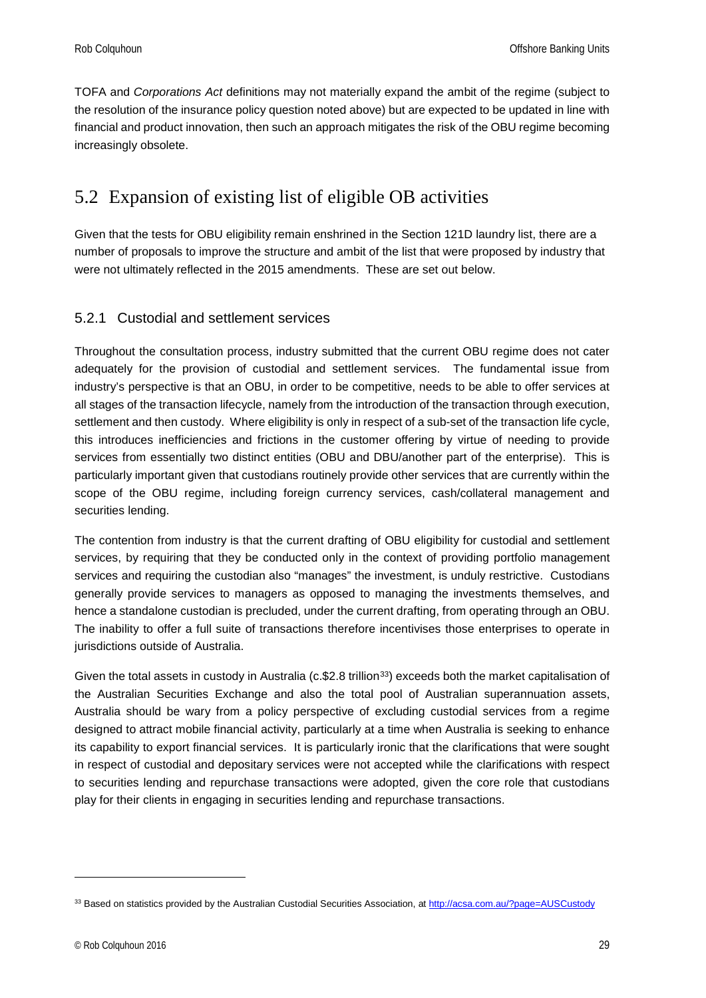TOFA and *Corporations Act* definitions may not materially expand the ambit of the regime (subject to the resolution of the insurance policy question noted above) but are expected to be updated in line with financial and product innovation, then such an approach mitigates the risk of the OBU regime becoming increasingly obsolete.

## <span id="page-28-0"></span>5.2 Expansion of existing list of eligible OB activities

Given that the tests for OBU eligibility remain enshrined in the Section 121D laundry list, there are a number of proposals to improve the structure and ambit of the list that were proposed by industry that were not ultimately reflected in the 2015 amendments. These are set out below.

#### <span id="page-28-1"></span>5.2.1 Custodial and settlement services

Throughout the consultation process, industry submitted that the current OBU regime does not cater adequately for the provision of custodial and settlement services. The fundamental issue from industry's perspective is that an OBU, in order to be competitive, needs to be able to offer services at all stages of the transaction lifecycle, namely from the introduction of the transaction through execution, settlement and then custody. Where eligibility is only in respect of a sub-set of the transaction life cycle, this introduces inefficiencies and frictions in the customer offering by virtue of needing to provide services from essentially two distinct entities (OBU and DBU/another part of the enterprise). This is particularly important given that custodians routinely provide other services that are currently within the scope of the OBU regime, including foreign currency services, cash/collateral management and securities lending.

The contention from industry is that the current drafting of OBU eligibility for custodial and settlement services, by requiring that they be conducted only in the context of providing portfolio management services and requiring the custodian also "manages" the investment, is unduly restrictive. Custodians generally provide services to managers as opposed to managing the investments themselves, and hence a standalone custodian is precluded, under the current drafting, from operating through an OBU. The inability to offer a full suite of transactions therefore incentivises those enterprises to operate in jurisdictions outside of Australia.

Given the total assets in custody in Australia (c.\$2.8 trillion<sup>33</sup>) exceeds both the market capitalisation of the Australian Securities Exchange and also the total pool of Australian superannuation assets, Australia should be wary from a policy perspective of excluding custodial services from a regime designed to attract mobile financial activity, particularly at a time when Australia is seeking to enhance its capability to export financial services. It is particularly ironic that the clarifications that were sought in respect of custodial and depositary services were not accepted while the clarifications with respect to securities lending and repurchase transactions were adopted, given the core role that custodians play for their clients in engaging in securities lending and repurchase transactions.

<span id="page-28-2"></span><sup>33</sup> Based on statistics provided by the Australian Custodial Securities Association, at http://acsa.com.au/?page=AUSCustody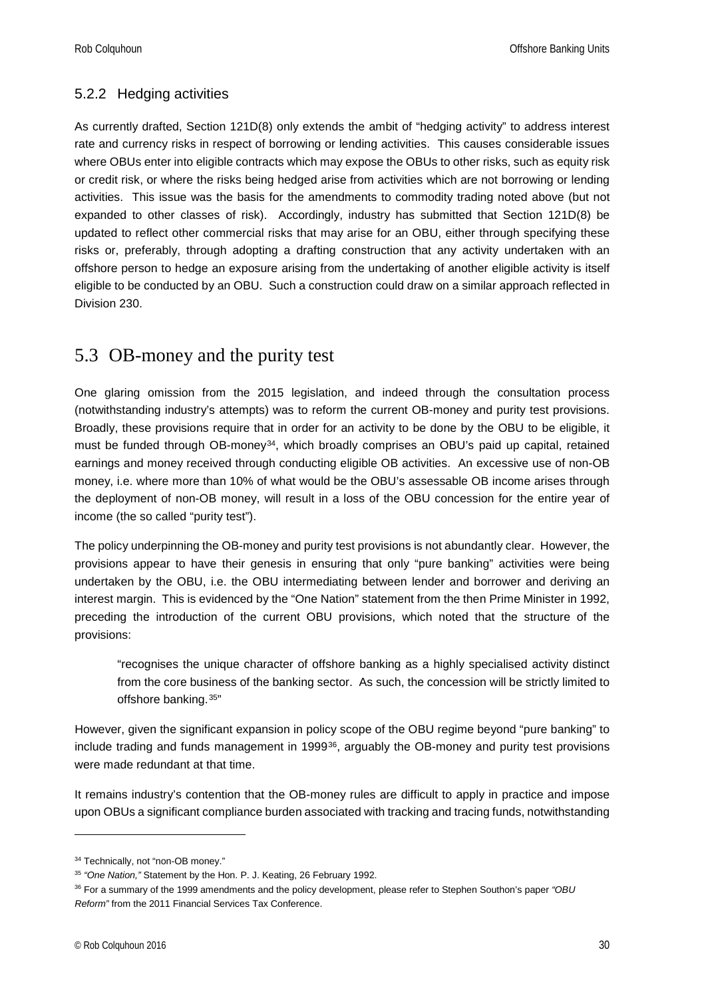#### <span id="page-29-0"></span>5.2.2 Hedging activities

As currently drafted, Section 121D(8) only extends the ambit of "hedging activity" to address interest rate and currency risks in respect of borrowing or lending activities. This causes considerable issues where OBUs enter into eligible contracts which may expose the OBUs to other risks, such as equity risk or credit risk, or where the risks being hedged arise from activities which are not borrowing or lending activities. This issue was the basis for the amendments to commodity trading noted above (but not expanded to other classes of risk). Accordingly, industry has submitted that Section 121D(8) be updated to reflect other commercial risks that may arise for an OBU, either through specifying these risks or, preferably, through adopting a drafting construction that any activity undertaken with an offshore person to hedge an exposure arising from the undertaking of another eligible activity is itself eligible to be conducted by an OBU. Such a construction could draw on a similar approach reflected in Division 230.

### <span id="page-29-1"></span>5.3 OB-money and the purity test

One glaring omission from the 2015 legislation, and indeed through the consultation process (notwithstanding industry's attempts) was to reform the current OB-money and purity test provisions. Broadly, these provisions require that in order for an activity to be done by the OBU to be eligible, it must be funded through OB-money<sup>[34](#page-29-2)</sup>, which broadly comprises an OBU's paid up capital, retained earnings and money received through conducting eligible OB activities. An excessive use of non-OB money, i.e. where more than 10% of what would be the OBU's assessable OB income arises through the deployment of non-OB money, will result in a loss of the OBU concession for the entire year of income (the so called "purity test").

The policy underpinning the OB-money and purity test provisions is not abundantly clear. However, the provisions appear to have their genesis in ensuring that only "pure banking" activities were being undertaken by the OBU, i.e. the OBU intermediating between lender and borrower and deriving an interest margin. This is evidenced by the "One Nation" statement from the then Prime Minister in 1992, preceding the introduction of the current OBU provisions, which noted that the structure of the provisions:

"recognises the unique character of offshore banking as a highly specialised activity distinct from the core business of the banking sector. As such, the concession will be strictly limited to offshore banking.[35](#page-29-3)"

However, given the significant expansion in policy scope of the OBU regime beyond "pure banking" to include trading and funds management in 1999[36](#page-29-4), arguably the OB-money and purity test provisions were made redundant at that time.

It remains industry's contention that the OB-money rules are difficult to apply in practice and impose upon OBUs a significant compliance burden associated with tracking and tracing funds, notwithstanding

<span id="page-29-2"></span><sup>&</sup>lt;sup>34</sup> Technically, not "non-OB money."

<span id="page-29-3"></span><sup>35</sup> *"One Nation,"* Statement by the Hon. P. J. Keating, 26 February 1992.

<span id="page-29-4"></span><sup>36</sup> For a summary of the 1999 amendments and the policy development, please refer to Stephen Southon's paper *"OBU Reform"* from the 2011 Financial Services Tax Conference.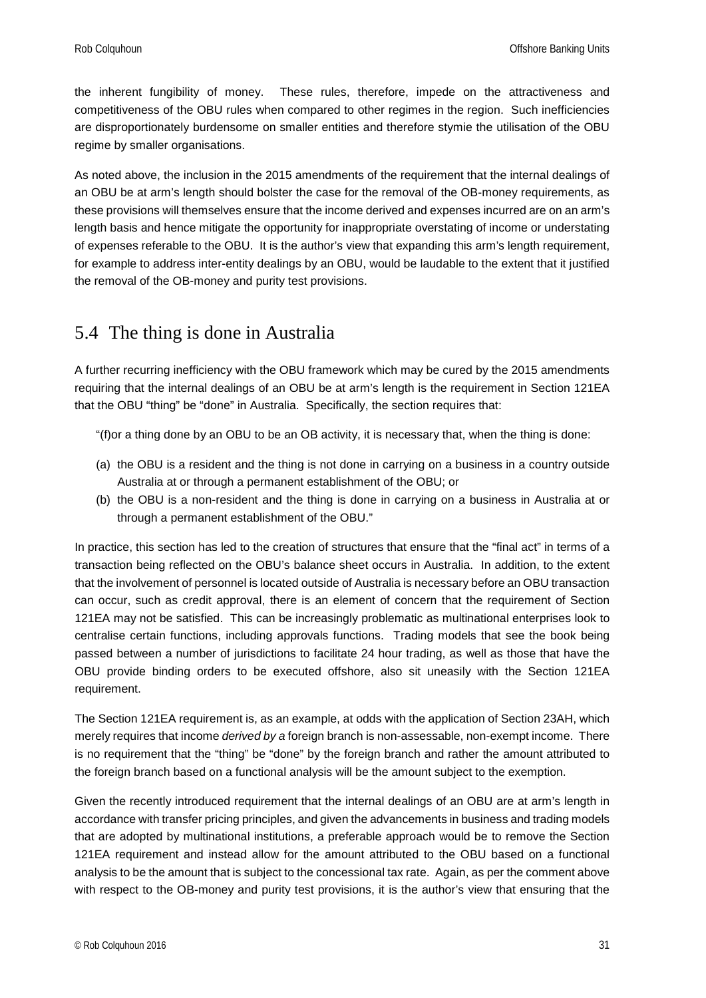the inherent fungibility of money. These rules, therefore, impede on the attractiveness and competitiveness of the OBU rules when compared to other regimes in the region. Such inefficiencies are disproportionately burdensome on smaller entities and therefore stymie the utilisation of the OBU regime by smaller organisations.

As noted above, the inclusion in the 2015 amendments of the requirement that the internal dealings of an OBU be at arm's length should bolster the case for the removal of the OB-money requirements, as these provisions will themselves ensure that the income derived and expenses incurred are on an arm's length basis and hence mitigate the opportunity for inappropriate overstating of income or understating of expenses referable to the OBU. It is the author's view that expanding this arm's length requirement, for example to address inter-entity dealings by an OBU, would be laudable to the extent that it justified the removal of the OB-money and purity test provisions.

## <span id="page-30-0"></span>5.4 The thing is done in Australia

A further recurring inefficiency with the OBU framework which may be cured by the 2015 amendments requiring that the internal dealings of an OBU be at arm's length is the requirement in Section 121EA that the OBU "thing" be "done" in Australia. Specifically, the section requires that:

"(f)or a thing done by an OBU to be an OB activity, it is necessary that, when the thing is done:

- (a) the OBU is a resident and the thing is not done in carrying on a business in a country outside Australia at or through a permanent establishment of the OBU; or
- (b) the OBU is a non-resident and the thing is done in carrying on a business in Australia at or through a permanent establishment of the OBU."

In practice, this section has led to the creation of structures that ensure that the "final act" in terms of a transaction being reflected on the OBU's balance sheet occurs in Australia. In addition, to the extent that the involvement of personnel is located outside of Australia is necessary before an OBU transaction can occur, such as credit approval, there is an element of concern that the requirement of Section 121EA may not be satisfied. This can be increasingly problematic as multinational enterprises look to centralise certain functions, including approvals functions. Trading models that see the book being passed between a number of jurisdictions to facilitate 24 hour trading, as well as those that have the OBU provide binding orders to be executed offshore, also sit uneasily with the Section 121EA requirement.

The Section 121EA requirement is, as an example, at odds with the application of Section 23AH, which merely requires that income *derived by a* foreign branch is non-assessable, non-exempt income. There is no requirement that the "thing" be "done" by the foreign branch and rather the amount attributed to the foreign branch based on a functional analysis will be the amount subject to the exemption.

Given the recently introduced requirement that the internal dealings of an OBU are at arm's length in accordance with transfer pricing principles, and given the advancements in business and trading models that are adopted by multinational institutions, a preferable approach would be to remove the Section 121EA requirement and instead allow for the amount attributed to the OBU based on a functional analysis to be the amount that is subject to the concessional tax rate. Again, as per the comment above with respect to the OB-money and purity test provisions, it is the author's view that ensuring that the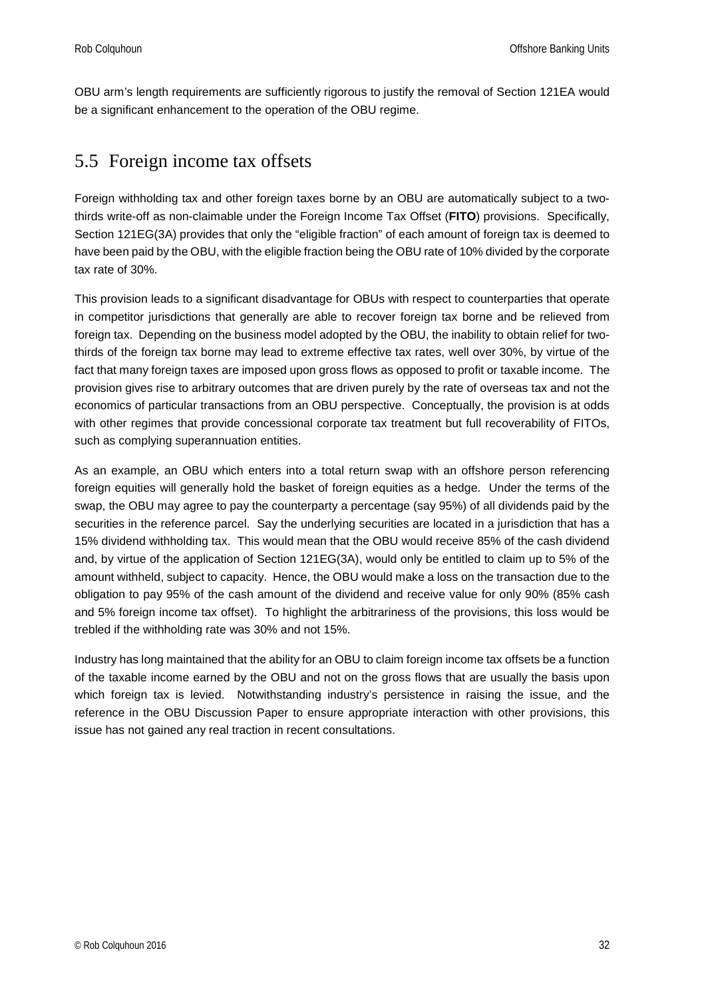OBU arm's length requirements are sufficiently rigorous to justify the removal of Section 121EA would be a significant enhancement to the operation of the OBU regime.

### <span id="page-31-0"></span>5.5 Foreign income tax offsets

Foreign withholding tax and other foreign taxes borne by an OBU are automatically subject to a twothirds write-off as non-claimable under the Foreign Income Tax Offset (**FITO**) provisions. Specifically, Section 121EG(3A) provides that only the "eligible fraction" of each amount of foreign tax is deemed to have been paid by the OBU, with the eligible fraction being the OBU rate of 10% divided by the corporate tax rate of 30%.

This provision leads to a significant disadvantage for OBUs with respect to counterparties that operate in competitor jurisdictions that generally are able to recover foreign tax borne and be relieved from foreign tax. Depending on the business model adopted by the OBU, the inability to obtain relief for twothirds of the foreign tax borne may lead to extreme effective tax rates, well over 30%, by virtue of the fact that many foreign taxes are imposed upon gross flows as opposed to profit or taxable income. The provision gives rise to arbitrary outcomes that are driven purely by the rate of overseas tax and not the economics of particular transactions from an OBU perspective. Conceptually, the provision is at odds with other regimes that provide concessional corporate tax treatment but full recoverability of FITOs, such as complying superannuation entities.

As an example, an OBU which enters into a total return swap with an offshore person referencing foreign equities will generally hold the basket of foreign equities as a hedge. Under the terms of the swap, the OBU may agree to pay the counterparty a percentage (say 95%) of all dividends paid by the securities in the reference parcel. Say the underlying securities are located in a jurisdiction that has a 15% dividend withholding tax. This would mean that the OBU would receive 85% of the cash dividend and, by virtue of the application of Section 121EG(3A), would only be entitled to claim up to 5% of the amount withheld, subject to capacity. Hence, the OBU would make a loss on the transaction due to the obligation to pay 95% of the cash amount of the dividend and receive value for only 90% (85% cash and 5% foreign income tax offset). To highlight the arbitrariness of the provisions, this loss would be trebled if the withholding rate was 30% and not 15%.

Industry has long maintained that the ability for an OBU to claim foreign income tax offsets be a function of the taxable income earned by the OBU and not on the gross flows that are usually the basis upon which foreign tax is levied. Notwithstanding industry's persistence in raising the issue, and the reference in the OBU Discussion Paper to ensure appropriate interaction with other provisions, this issue has not gained any real traction in recent consultations.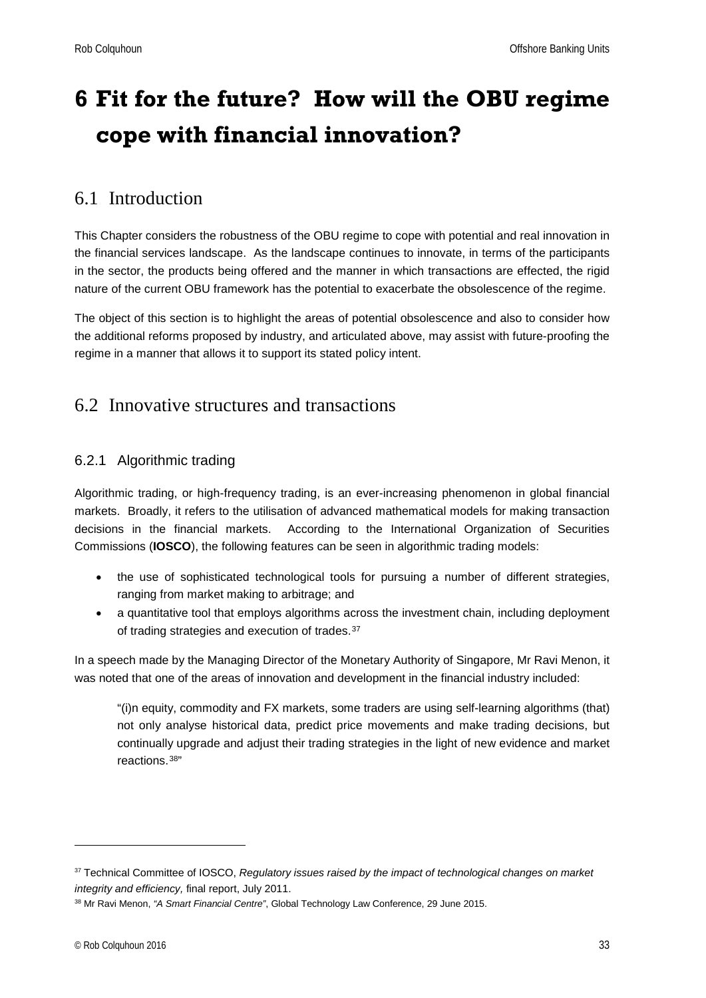## <span id="page-32-0"></span>**6 Fit for the future? How will the OBU regime cope with financial innovation?**

## <span id="page-32-1"></span>6.1 Introduction

This Chapter considers the robustness of the OBU regime to cope with potential and real innovation in the financial services landscape. As the landscape continues to innovate, in terms of the participants in the sector, the products being offered and the manner in which transactions are effected, the rigid nature of the current OBU framework has the potential to exacerbate the obsolescence of the regime.

The object of this section is to highlight the areas of potential obsolescence and also to consider how the additional reforms proposed by industry, and articulated above, may assist with future-proofing the regime in a manner that allows it to support its stated policy intent.

## <span id="page-32-2"></span>6.2 Innovative structures and transactions

#### <span id="page-32-3"></span>6.2.1 Algorithmic trading

Algorithmic trading, or high-frequency trading, is an ever-increasing phenomenon in global financial markets. Broadly, it refers to the utilisation of advanced mathematical models for making transaction decisions in the financial markets. According to the International Organization of Securities Commissions (**IOSCO**), the following features can be seen in algorithmic trading models:

- the use of sophisticated technological tools for pursuing a number of different strategies, ranging from market making to arbitrage; and
- a quantitative tool that employs algorithms across the investment chain, including deployment of trading strategies and execution of trades.<sup>[37](#page-32-4)</sup>

In a speech made by the Managing Director of the Monetary Authority of Singapore, Mr Ravi Menon, it was noted that one of the areas of innovation and development in the financial industry included:

"(i)n equity, commodity and FX markets, some traders are using self-learning algorithms (that) not only analyse historical data, predict price movements and make trading decisions, but continually upgrade and adjust their trading strategies in the light of new evidence and market reactions.[38](#page-32-5)"

<span id="page-32-4"></span><sup>37</sup> Technical Committee of IOSCO, *Regulatory issues raised by the impact of technological changes on market integrity and efficiency,* final report, July 2011.

<span id="page-32-5"></span><sup>38</sup> Mr Ravi Menon, *"A Smart Financial Centre"*, Global Technology Law Conference, 29 June 2015.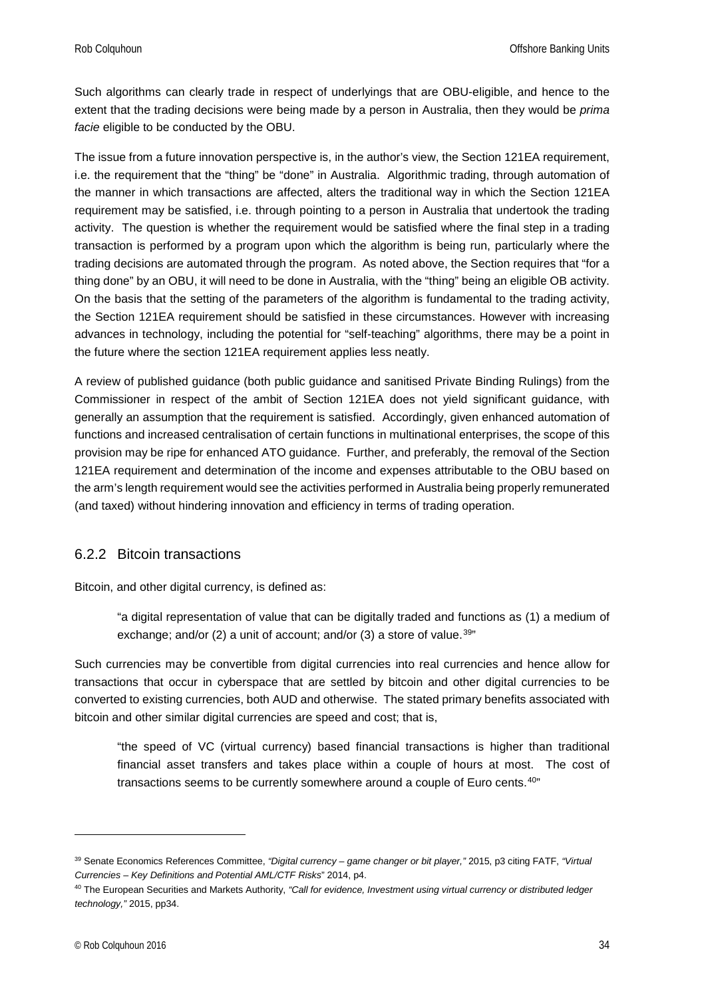Rob Colquhoun **College College College College College College College College College College College College College College College College College College College College College College College College College College** 

Such algorithms can clearly trade in respect of underlyings that are OBU-eligible, and hence to the extent that the trading decisions were being made by a person in Australia, then they would be *prima facie* eligible to be conducted by the OBU.

The issue from a future innovation perspective is, in the author's view, the Section 121EA requirement, i.e. the requirement that the "thing" be "done" in Australia. Algorithmic trading, through automation of the manner in which transactions are affected, alters the traditional way in which the Section 121EA requirement may be satisfied, i.e. through pointing to a person in Australia that undertook the trading activity. The question is whether the requirement would be satisfied where the final step in a trading transaction is performed by a program upon which the algorithm is being run, particularly where the trading decisions are automated through the program. As noted above, the Section requires that "for a thing done" by an OBU, it will need to be done in Australia, with the "thing" being an eligible OB activity. On the basis that the setting of the parameters of the algorithm is fundamental to the trading activity, the Section 121EA requirement should be satisfied in these circumstances. However with increasing advances in technology, including the potential for "self-teaching" algorithms, there may be a point in the future where the section 121EA requirement applies less neatly.

A review of published guidance (both public guidance and sanitised Private Binding Rulings) from the Commissioner in respect of the ambit of Section 121EA does not yield significant guidance, with generally an assumption that the requirement is satisfied. Accordingly, given enhanced automation of functions and increased centralisation of certain functions in multinational enterprises, the scope of this provision may be ripe for enhanced ATO guidance. Further, and preferably, the removal of the Section 121EA requirement and determination of the income and expenses attributable to the OBU based on the arm's length requirement would see the activities performed in Australia being properly remunerated (and taxed) without hindering innovation and efficiency in terms of trading operation.

#### <span id="page-33-0"></span>6.2.2 Bitcoin transactions

Bitcoin, and other digital currency, is defined as:

"a digital representation of value that can be digitally traded and functions as (1) a medium of exchange; and/or  $(2)$  a unit of account; and/or  $(3)$  a store of value.<sup>[39](#page-33-1)"</sup>

Such currencies may be convertible from digital currencies into real currencies and hence allow for transactions that occur in cyberspace that are settled by bitcoin and other digital currencies to be converted to existing currencies, both AUD and otherwise. The stated primary benefits associated with bitcoin and other similar digital currencies are speed and cost; that is,

"the speed of VC (virtual currency) based financial transactions is higher than traditional financial asset transfers and takes place within a couple of hours at most. The cost of transactions seems to be currently somewhere around a couple of Euro cents.[40](#page-33-2)"

<span id="page-33-1"></span><sup>39</sup> Senate Economics References Committee, *"Digital currency – game changer or bit player,"* 2015, p3 citing FATF, *"Virtual Currencies – Key Definitions and Potential AML/CTF Risks*" 2014, p4.

<span id="page-33-2"></span><sup>40</sup> The European Securities and Markets Authority, *"Call for evidence, Investment using virtual currency or distributed ledger technology,"* 2015, pp34.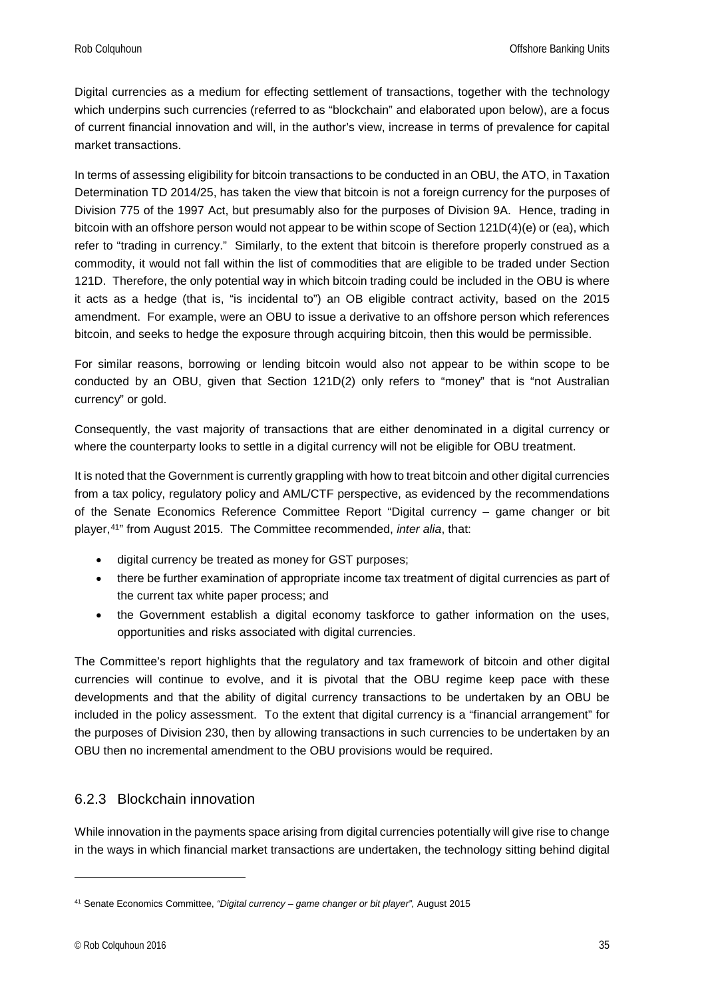Digital currencies as a medium for effecting settlement of transactions, together with the technology which underpins such currencies (referred to as "blockchain" and elaborated upon below), are a focus of current financial innovation and will, in the author's view, increase in terms of prevalence for capital market transactions.

In terms of assessing eligibility for bitcoin transactions to be conducted in an OBU, the ATO, in Taxation Determination TD 2014/25, has taken the view that bitcoin is not a foreign currency for the purposes of Division 775 of the 1997 Act, but presumably also for the purposes of Division 9A. Hence, trading in bitcoin with an offshore person would not appear to be within scope of Section 121D(4)(e) or (ea), which refer to "trading in currency." Similarly, to the extent that bitcoin is therefore properly construed as a commodity, it would not fall within the list of commodities that are eligible to be traded under Section 121D. Therefore, the only potential way in which bitcoin trading could be included in the OBU is where it acts as a hedge (that is, "is incidental to") an OB eligible contract activity, based on the 2015 amendment. For example, were an OBU to issue a derivative to an offshore person which references bitcoin, and seeks to hedge the exposure through acquiring bitcoin, then this would be permissible.

For similar reasons, borrowing or lending bitcoin would also not appear to be within scope to be conducted by an OBU, given that Section 121D(2) only refers to "money" that is "not Australian currency" or gold.

Consequently, the vast majority of transactions that are either denominated in a digital currency or where the counterparty looks to settle in a digital currency will not be eligible for OBU treatment.

It is noted that the Government is currently grappling with how to treat bitcoin and other digital currencies from a tax policy, regulatory policy and AML/CTF perspective, as evidenced by the recommendations of the Senate Economics Reference Committee Report "Digital currency – game changer or bit player,[41"](#page-34-1) from August 2015. The Committee recommended, *inter alia*, that:

- digital currency be treated as money for GST purposes;
- there be further examination of appropriate income tax treatment of digital currencies as part of the current tax white paper process; and
- the Government establish a digital economy taskforce to gather information on the uses, opportunities and risks associated with digital currencies.

The Committee's report highlights that the regulatory and tax framework of bitcoin and other digital currencies will continue to evolve, and it is pivotal that the OBU regime keep pace with these developments and that the ability of digital currency transactions to be undertaken by an OBU be included in the policy assessment. To the extent that digital currency is a "financial arrangement" for the purposes of Division 230, then by allowing transactions in such currencies to be undertaken by an OBU then no incremental amendment to the OBU provisions would be required.

#### <span id="page-34-0"></span>6.2.3 Blockchain innovation

While innovation in the payments space arising from digital currencies potentially will give rise to change in the ways in which financial market transactions are undertaken, the technology sitting behind digital

<span id="page-34-1"></span><sup>41</sup> Senate Economics Committee, *"Digital currency – game changer or bit player",* August 2015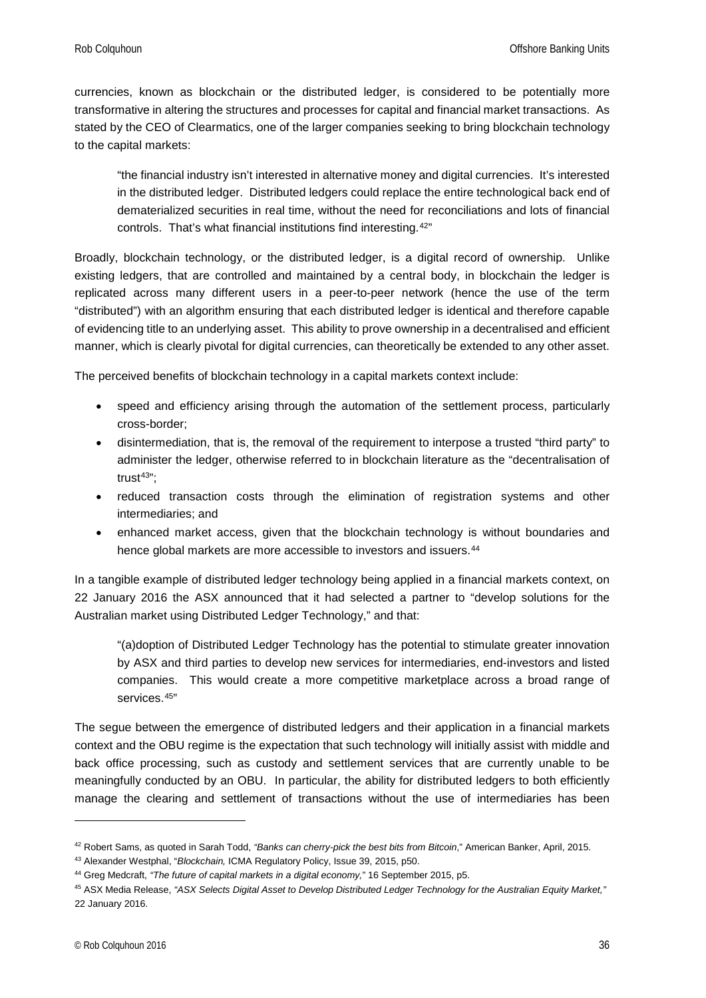currencies, known as blockchain or the distributed ledger, is considered to be potentially more transformative in altering the structures and processes for capital and financial market transactions. As stated by the CEO of Clearmatics, one of the larger companies seeking to bring blockchain technology to the capital markets:

"the financial industry isn't interested in alternative money and digital currencies. It's interested in the distributed ledger. Distributed ledgers could replace the entire technological back end of dematerialized securities in real time, without the need for reconciliations and lots of financial controls. That's what financial institutions find interesting.[42](#page-35-0)"

Broadly, blockchain technology, or the distributed ledger, is a digital record of ownership. Unlike existing ledgers, that are controlled and maintained by a central body, in blockchain the ledger is replicated across many different users in a peer-to-peer network (hence the use of the term "distributed") with an algorithm ensuring that each distributed ledger is identical and therefore capable of evidencing title to an underlying asset. This ability to prove ownership in a decentralised and efficient manner, which is clearly pivotal for digital currencies, can theoretically be extended to any other asset.

The perceived benefits of blockchain technology in a capital markets context include:

- speed and efficiency arising through the automation of the settlement process, particularly cross-border;
- disintermediation, that is, the removal of the requirement to interpose a trusted "third party" to administer the ledger, otherwise referred to in blockchain literature as the "decentralisation of trust $43"$  $43"$ ;
- reduced transaction costs through the elimination of registration systems and other intermediaries; and
- enhanced market access, given that the blockchain technology is without boundaries and hence global markets are more accessible to investors and issuers.<sup>44</sup>

In a tangible example of distributed ledger technology being applied in a financial markets context, on 22 January 2016 the ASX announced that it had selected a partner to "develop solutions for the Australian market using Distributed Ledger Technology," and that:

"(a)doption of Distributed Ledger Technology has the potential to stimulate greater innovation by ASX and third parties to develop new services for intermediaries, end-investors and listed companies. This would create a more competitive marketplace across a broad range of services.[45](#page-35-3)"

The segue between the emergence of distributed ledgers and their application in a financial markets context and the OBU regime is the expectation that such technology will initially assist with middle and back office processing, such as custody and settlement services that are currently unable to be meaningfully conducted by an OBU. In particular, the ability for distributed ledgers to both efficiently manage the clearing and settlement of transactions without the use of intermediaries has been

<span id="page-35-0"></span><sup>42</sup> Robert Sams, as quoted in Sarah Todd, *"Banks can cherry-pick the best bits from Bitcoin*," American Banker, April, 2015.

<span id="page-35-1"></span><sup>43</sup> Alexander Westphal, "*Blockchain,* ICMA Regulatory Policy, Issue 39, 2015, p50.

<span id="page-35-2"></span><sup>44</sup> Greg Medcraft, *"The future of capital markets in a digital economy,*" 16 September 2015, p5.

<span id="page-35-3"></span><sup>45</sup> ASX Media Release, *"ASX Selects Digital Asset to Develop Distributed Ledger Technology for the Australian Equity Market,"*  22 January 2016.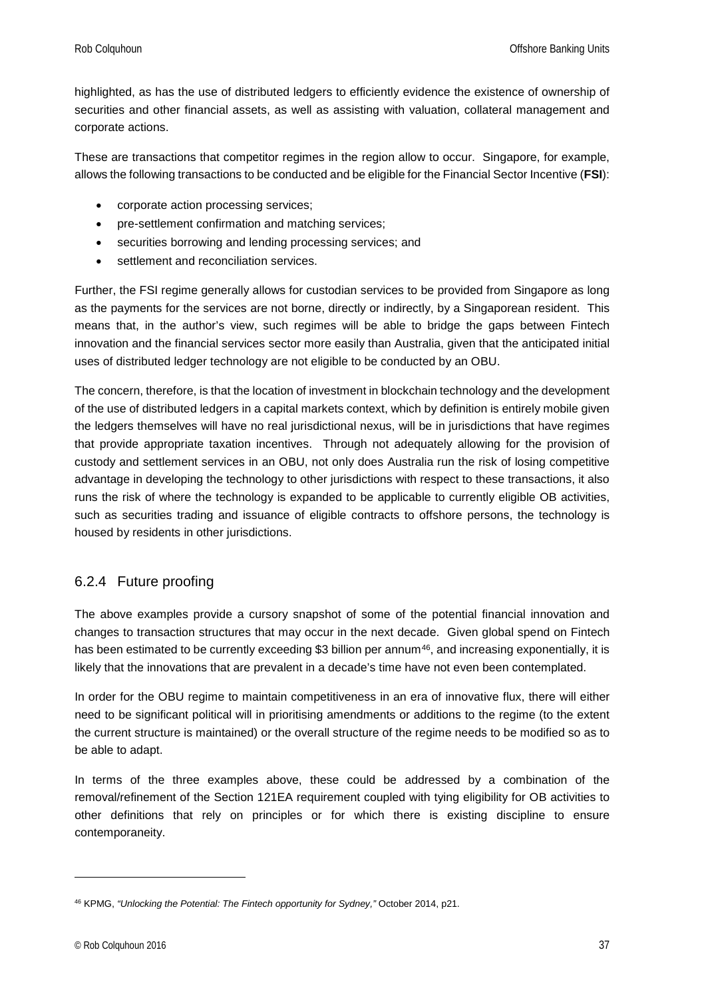highlighted, as has the use of distributed ledgers to efficiently evidence the existence of ownership of securities and other financial assets, as well as assisting with valuation, collateral management and corporate actions.

These are transactions that competitor regimes in the region allow to occur. Singapore, for example, allows the following transactions to be conducted and be eligible for the Financial Sector Incentive (**FSI**):

- corporate action processing services;
- pre-settlement confirmation and matching services;
- securities borrowing and lending processing services; and
- settlement and reconciliation services.

Further, the FSI regime generally allows for custodian services to be provided from Singapore as long as the payments for the services are not borne, directly or indirectly, by a Singaporean resident. This means that, in the author's view, such regimes will be able to bridge the gaps between Fintech innovation and the financial services sector more easily than Australia, given that the anticipated initial uses of distributed ledger technology are not eligible to be conducted by an OBU.

The concern, therefore, is that the location of investment in blockchain technology and the development of the use of distributed ledgers in a capital markets context, which by definition is entirely mobile given the ledgers themselves will have no real jurisdictional nexus, will be in jurisdictions that have regimes that provide appropriate taxation incentives. Through not adequately allowing for the provision of custody and settlement services in an OBU, not only does Australia run the risk of losing competitive advantage in developing the technology to other jurisdictions with respect to these transactions, it also runs the risk of where the technology is expanded to be applicable to currently eligible OB activities, such as securities trading and issuance of eligible contracts to offshore persons, the technology is housed by residents in other jurisdictions.

#### <span id="page-36-0"></span>6.2.4 Future proofing

The above examples provide a cursory snapshot of some of the potential financial innovation and changes to transaction structures that may occur in the next decade. Given global spend on Fintech has been estimated to be currently exceeding \$3 billion per annum<sup>[46](#page-36-1)</sup>, and increasing exponentially, it is likely that the innovations that are prevalent in a decade's time have not even been contemplated.

In order for the OBU regime to maintain competitiveness in an era of innovative flux, there will either need to be significant political will in prioritising amendments or additions to the regime (to the extent the current structure is maintained) or the overall structure of the regime needs to be modified so as to be able to adapt.

In terms of the three examples above, these could be addressed by a combination of the removal/refinement of the Section 121EA requirement coupled with tying eligibility for OB activities to other definitions that rely on principles or for which there is existing discipline to ensure contemporaneity.

<span id="page-36-1"></span><sup>46</sup> KPMG, *"Unlocking the Potential: The Fintech opportunity for Sydney,"* October 2014, p21.